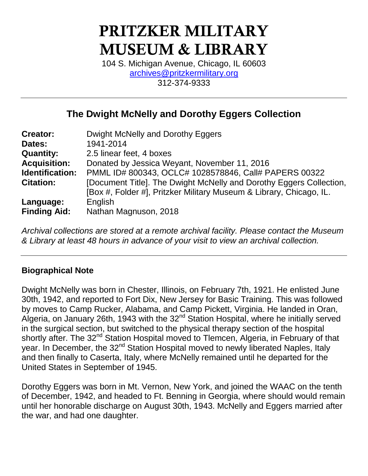# **PRITZKER MILITARY MUSEUM & LIBRARY**

104 S. Michigan Avenue, Chicago, IL 60603 [archives@pritzkermilitary.org](mailto:archives@pritzkermilitary.org) 312-374-9333

### **The Dwight McNelly and Dorothy Eggers Collection**

| <b>Creator:</b>     | Dwight McNelly and Dorothy Eggers                                                                                                          |
|---------------------|--------------------------------------------------------------------------------------------------------------------------------------------|
| Dates:              | 1941-2014                                                                                                                                  |
| <b>Quantity:</b>    | 2.5 linear feet, 4 boxes                                                                                                                   |
| <b>Acquisition:</b> | Donated by Jessica Weyant, November 11, 2016                                                                                               |
| Identification:     | PMML ID# 800343, OCLC# 1028578846, Call# PAPERS 00322                                                                                      |
| <b>Citation:</b>    | [Document Title]. The Dwight McNelly and Dorothy Eggers Collection,<br>[Box #, Folder #], Pritzker Military Museum & Library, Chicago, IL. |
| Language:           | English                                                                                                                                    |
| <b>Finding Aid:</b> | Nathan Magnuson, 2018                                                                                                                      |

*Archival collections are stored at a remote archival facility. Please contact the Museum & Library at least 48 hours in advance of your visit to view an archival collection.*

### **Biographical Note**

Dwight McNelly was born in Chester, Illinois, on February 7th, 1921. He enlisted June 30th, 1942, and reported to Fort Dix, New Jersey for Basic Training. This was followed by moves to Camp Rucker, Alabama, and Camp Pickett, Virginia. He landed in Oran, Algeria, on January 26th, 1943 with the 32<sup>nd</sup> Station Hospital, where he initially served in the surgical section, but switched to the physical therapy section of the hospital shortly after. The 32<sup>nd</sup> Station Hospital moved to Tlemcen, Algeria, in February of that year. In December, the 32<sup>nd</sup> Station Hospital moved to newly liberated Naples, Italy and then finally to Caserta, Italy, where McNelly remained until he departed for the United States in September of 1945.

Dorothy Eggers was born in Mt. Vernon, New York, and joined the WAAC on the tenth of December, 1942, and headed to Ft. Benning in Georgia, where should would remain until her honorable discharge on August 30th, 1943. McNelly and Eggers married after the war, and had one daughter.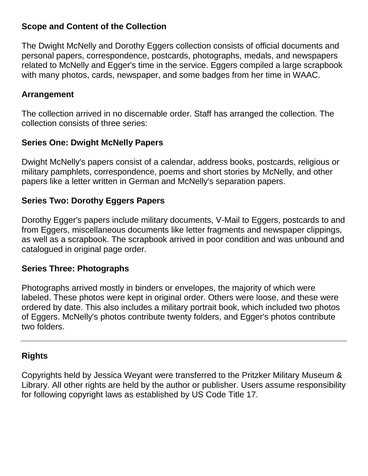### **Scope and Content of the Collection**

The Dwight McNelly and Dorothy Eggers collection consists of official documents and personal papers, correspondence, postcards, photographs, medals, and newspapers related to McNelly and Egger's time in the service. Eggers compiled a large scrapbook with many photos, cards, newspaper, and some badges from her time in WAAC.

### **Arrangement**

The collection arrived in no discernable order. Staff has arranged the collection. The collection consists of three series:

### **Series One: Dwight McNelly Papers**

Dwight McNelly's papers consist of a calendar, address books, postcards, religious or military pamphlets, correspondence, poems and short stories by McNelly, and other papers like a letter written in German and McNelly's separation papers.

### **Series Two: Dorothy Eggers Papers**

Dorothy Egger's papers include military documents, V-Mail to Eggers, postcards to and from Eggers, miscellaneous documents like letter fragments and newspaper clippings, as well as a scrapbook. The scrapbook arrived in poor condition and was unbound and catalogued in original page order.

### **Series Three: Photographs**

Photographs arrived mostly in binders or envelopes, the majority of which were labeled. These photos were kept in original order. Others were loose, and these were ordered by date. This also includes a military portrait book, which included two photos of Eggers. McNelly's photos contribute twenty folders, and Egger's photos contribute two folders.

### **Rights**

Copyrights held by Jessica Weyant were transferred to the Pritzker Military Museum & Library. All other rights are held by the author or publisher. Users assume responsibility for following copyright laws as established by US Code Title 17.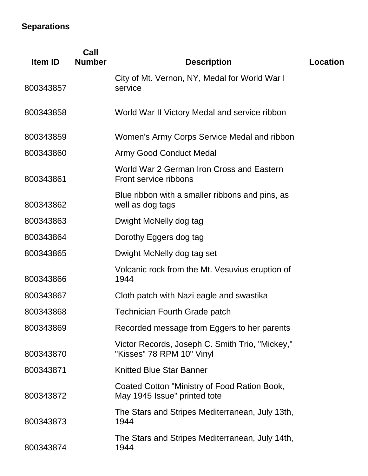### **Separations**

| Item ID   | Call<br><b>Number</b> | <b>Description</b>                                                           | <b>Location</b> |
|-----------|-----------------------|------------------------------------------------------------------------------|-----------------|
| 800343857 |                       | City of Mt. Vernon, NY, Medal for World War I<br>service                     |                 |
| 800343858 |                       | World War II Victory Medal and service ribbon                                |                 |
| 800343859 |                       | Women's Army Corps Service Medal and ribbon                                  |                 |
| 800343860 |                       | <b>Army Good Conduct Medal</b>                                               |                 |
| 800343861 |                       | World War 2 German Iron Cross and Eastern<br>Front service ribbons           |                 |
| 800343862 |                       | Blue ribbon with a smaller ribbons and pins, as<br>well as dog tags          |                 |
| 800343863 |                       | Dwight McNelly dog tag                                                       |                 |
| 800343864 |                       | Dorothy Eggers dog tag                                                       |                 |
| 800343865 |                       | Dwight McNelly dog tag set                                                   |                 |
| 800343866 |                       | Volcanic rock from the Mt. Vesuvius eruption of<br>1944                      |                 |
| 800343867 |                       | Cloth patch with Nazi eagle and swastika                                     |                 |
| 800343868 |                       | <b>Technician Fourth Grade patch</b>                                         |                 |
| 800343869 |                       | Recorded message from Eggers to her parents                                  |                 |
| 800343870 |                       | Victor Records, Joseph C. Smith Trio, "Mickey,"<br>"Kisses" 78 RPM 10" Vinyl |                 |
| 800343871 |                       | <b>Knitted Blue Star Banner</b>                                              |                 |
| 800343872 |                       | Coated Cotton "Ministry of Food Ration Book,<br>May 1945 Issue" printed tote |                 |
| 800343873 |                       | The Stars and Stripes Mediterranean, July 13th,<br>1944                      |                 |
| 800343874 |                       | The Stars and Stripes Mediterranean, July 14th,<br>1944                      |                 |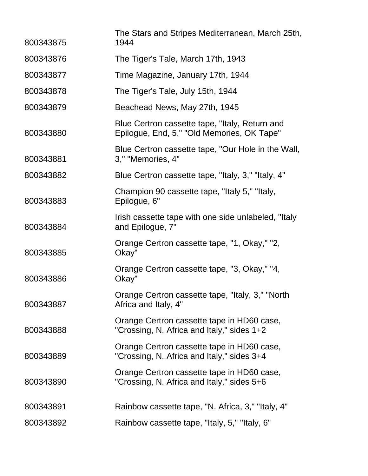| 800343875 | The Stars and Stripes Mediterranean, March 25th,<br>1944                                     |
|-----------|----------------------------------------------------------------------------------------------|
| 800343876 | The Tiger's Tale, March 17th, 1943                                                           |
| 800343877 | Time Magazine, January 17th, 1944                                                            |
| 800343878 | The Tiger's Tale, July 15th, 1944                                                            |
| 800343879 | Beachead News, May 27th, 1945                                                                |
| 800343880 | Blue Certron cassette tape, "Italy, Return and<br>Epilogue, End, 5," "Old Memories, OK Tape" |
| 800343881 | Blue Certron cassette tape, "Our Hole in the Wall,<br>3," "Memories, 4"                      |
| 800343882 | Blue Certron cassette tape, "Italy, 3," "Italy, 4"                                           |
| 800343883 | Champion 90 cassette tape, "Italy 5," "Italy,<br>Epilogue, 6"                                |
| 800343884 | Irish cassette tape with one side unlabeled, "Italy<br>and Epilogue, 7"                      |
| 800343885 | Orange Certron cassette tape, "1, Okay," "2,<br>Okay"                                        |
| 800343886 | Orange Certron cassette tape, "3, Okay," "4,<br>Okay"                                        |
| 800343887 | Orange Certron cassette tape, "Italy, 3," "North<br>Africa and Italy, 4"                     |
| 800343888 | Orange Certron cassette tape in HD60 case,<br>"Crossing, N. Africa and Italy," sides 1+2     |
| 800343889 | Orange Certron cassette tape in HD60 case,<br>"Crossing, N. Africa and Italy," sides 3+4     |
| 800343890 | Orange Certron cassette tape in HD60 case,<br>"Crossing, N. Africa and Italy," sides 5+6     |
| 800343891 | Rainbow cassette tape, "N. Africa, 3," "Italy, 4"                                            |
| 800343892 | Rainbow cassette tape, "Italy, 5," "Italy, 6"                                                |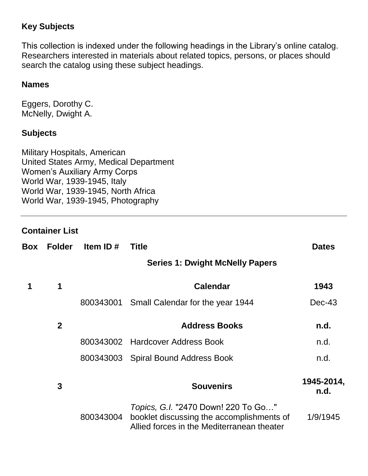### **Key Subjects**

This collection is indexed under the following headings in the Library's online catalog. Researchers interested in materials about related topics, persons, or places should search the catalog using these subject headings.

### **Names**

Eggers, Dorothy C. McNelly, Dwight A.

### **Subjects**

Military Hospitals, American United States Army, Medical Department Women's Auxiliary Army Corps World War, 1939-1945, Italy World War, 1939-1945, North Africa World War, 1939-1945, Photography

### **Container List**

| Box | <b>Folder</b>  | Item ID#  | <b>Title</b>                                                                                                                          | <b>Dates</b>       |
|-----|----------------|-----------|---------------------------------------------------------------------------------------------------------------------------------------|--------------------|
|     |                |           | <b>Series 1: Dwight McNelly Papers</b>                                                                                                |                    |
| 1   | 1              |           | <b>Calendar</b>                                                                                                                       | 1943               |
|     |                | 800343001 | Small Calendar for the year 1944                                                                                                      | $Dec-43$           |
|     | $\overline{2}$ |           | <b>Address Books</b>                                                                                                                  | n.d.               |
|     |                |           | 800343002 Hardcover Address Book                                                                                                      | n.d.               |
|     |                |           | 800343003 Spiral Bound Address Book                                                                                                   | n.d.               |
|     | 3              |           | <b>Souvenirs</b>                                                                                                                      | 1945-2014,<br>n.d. |
|     |                | 800343004 | <i>Topics, G.I.</i> "2470 Down! 220 To Go"<br>booklet discussing the accomplishments of<br>Allied forces in the Mediterranean theater | 1/9/1945           |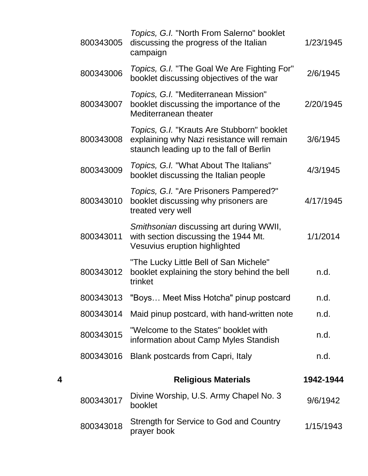|   | 800343005 | Topics, G.I. "North From Salerno" booklet<br>discussing the progress of the Italian<br>campaign                                      | 1/23/1945 |
|---|-----------|--------------------------------------------------------------------------------------------------------------------------------------|-----------|
|   | 800343006 | Topics, G.I. "The Goal We Are Fighting For"<br>booklet discussing objectives of the war                                              | 2/6/1945  |
|   | 800343007 | Topics, G.I. "Mediterranean Mission"<br>booklet discussing the importance of the<br>Mediterranean theater                            | 2/20/1945 |
|   | 800343008 | Topics, G.I. "Krauts Are Stubborn" booklet<br>explaining why Nazi resistance will remain<br>staunch leading up to the fall of Berlin | 3/6/1945  |
|   | 800343009 | Topics, G.I. "What About The Italians"<br>booklet discussing the Italian people                                                      | 4/3/1945  |
|   | 800343010 | Topics, G.I. "Are Prisoners Pampered?"<br>booklet discussing why prisoners are<br>treated very well                                  | 4/17/1945 |
|   | 800343011 | Smithsonian discussing art during WWII,<br>with section discussing the 1944 Mt.<br>Vesuvius eruption highlighted                     | 1/1/2014  |
|   | 800343012 | "The Lucky Little Bell of San Michele"<br>booklet explaining the story behind the bell<br>trinket                                    | n.d.      |
|   | 800343013 | "Boys Meet Miss Hotcha" pinup postcard                                                                                               | n.d.      |
|   | 800343014 | Maid pinup postcard, with hand-written note                                                                                          | n.d.      |
|   | 800343015 | "Welcome to the States" booklet with<br>information about Camp Myles Standish                                                        | n.d.      |
|   | 800343016 | Blank postcards from Capri, Italy                                                                                                    | n.d.      |
| 4 |           | <b>Religious Materials</b>                                                                                                           | 1942-1944 |
|   | 800343017 | Divine Worship, U.S. Army Chapel No. 3<br>booklet                                                                                    | 9/6/1942  |
|   | 800343018 | Strength for Service to God and Country<br>prayer book                                                                               | 1/15/1943 |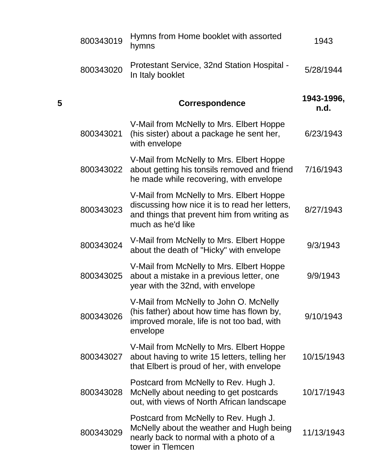|   | 800343019 | Hymns from Home booklet with assorted<br>hymns                                                                                                                 | 1943               |
|---|-----------|----------------------------------------------------------------------------------------------------------------------------------------------------------------|--------------------|
|   | 800343020 | Protestant Service, 32nd Station Hospital -<br>In Italy booklet                                                                                                | 5/28/1944          |
| 5 |           | <b>Correspondence</b>                                                                                                                                          | 1943-1996,<br>n.d. |
|   | 800343021 | V-Mail from McNelly to Mrs. Elbert Hoppe<br>(his sister) about a package he sent her,<br>with envelope                                                         | 6/23/1943          |
|   | 800343022 | V-Mail from McNelly to Mrs. Elbert Hoppe<br>about getting his tonsils removed and friend<br>he made while recovering, with envelope                            | 7/16/1943          |
|   | 800343023 | V-Mail from McNelly to Mrs. Elbert Hoppe<br>discussing how nice it is to read her letters,<br>and things that prevent him from writing as<br>much as he'd like | 8/27/1943          |
|   | 800343024 | V-Mail from McNelly to Mrs. Elbert Hoppe<br>about the death of "Hicky" with envelope                                                                           | 9/3/1943           |
|   | 800343025 | V-Mail from McNelly to Mrs. Elbert Hoppe<br>about a mistake in a previous letter, one<br>year with the 32nd, with envelope                                     | 9/9/1943           |
|   | 800343026 | V-Mail from McNelly to John O. McNelly<br>(his father) about how time has flown by,<br>improved morale, life is not too bad, with<br>envelope                  | 9/10/1943          |
|   | 800343027 | V-Mail from McNelly to Mrs. Elbert Hoppe<br>about having to write 15 letters, telling her<br>that Elbert is proud of her, with envelope                        | 10/15/1943         |
|   | 800343028 | Postcard from McNelly to Rev. Hugh J.<br>McNelly about needing to get postcards<br>out, with views of North African landscape                                  | 10/17/1943         |
|   | 800343029 | Postcard from McNelly to Rev. Hugh J.<br>McNelly about the weather and Hugh being<br>nearly back to normal with a photo of a<br>tower in Tlemcen               | 11/13/1943         |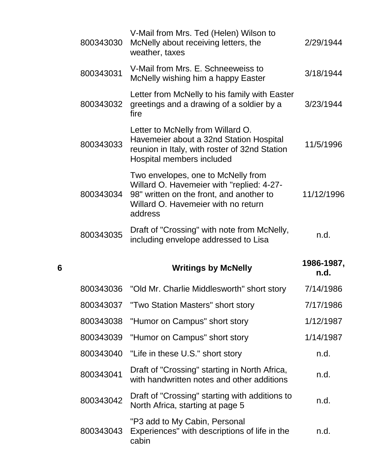|   | 800343030 | V-Mail from Mrs. Ted (Helen) Wilson to<br>McNelly about receiving letters, the<br>weather, taxes                                                                              | 2/29/1944          |
|---|-----------|-------------------------------------------------------------------------------------------------------------------------------------------------------------------------------|--------------------|
|   | 800343031 | V-Mail from Mrs. E. Schneeweiss to<br>McNelly wishing him a happy Easter                                                                                                      | 3/18/1944          |
|   | 800343032 | Letter from McNelly to his family with Easter<br>greetings and a drawing of a soldier by a<br>fire                                                                            | 3/23/1944          |
|   | 800343033 | Letter to McNelly from Willard O.<br>Havemeier about a 32nd Station Hospital<br>reunion in Italy, with roster of 32nd Station<br>Hospital members included                    | 11/5/1996          |
|   | 800343034 | Two envelopes, one to McNelly from<br>Willard O. Havemeier with "replied: 4-27-<br>98" written on the front, and another to<br>Willard O. Havemeier with no return<br>address | 11/12/1996         |
|   | 800343035 | Draft of "Crossing" with note from McNelly,                                                                                                                                   | n.d.               |
|   |           | including envelope addressed to Lisa                                                                                                                                          |                    |
| 6 |           | <b>Writings by McNelly</b>                                                                                                                                                    | 1986-1987,<br>n.d. |
|   |           | 800343036 "Old Mr. Charlie Middlesworth" short story                                                                                                                          | 7/14/1986          |
|   | 800343037 | "Two Station Masters" short story                                                                                                                                             | 7/17/1986          |
|   | 800343038 | "Humor on Campus" short story                                                                                                                                                 | 1/12/1987          |
|   | 800343039 | "Humor on Campus" short story                                                                                                                                                 | 1/14/1987          |
|   | 800343040 | "Life in these U.S." short story                                                                                                                                              | n.d.               |
|   | 800343041 | Draft of "Crossing" starting in North Africa,<br>with handwritten notes and other additions                                                                                   | n.d.               |
|   | 800343042 | Draft of "Crossing" starting with additions to<br>North Africa, starting at page 5                                                                                            | n.d.               |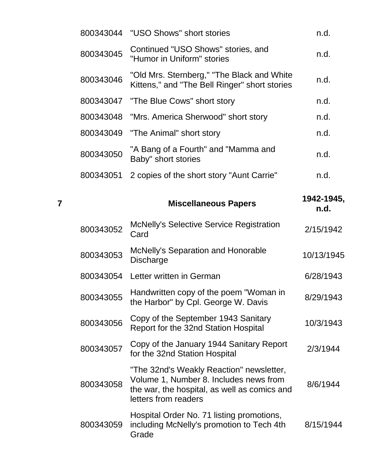|           | 800343044 "USO Shows" short stories                                                          | n.d. |
|-----------|----------------------------------------------------------------------------------------------|------|
| 800343045 | Continued "USO Shows" stories, and<br>"Humor in Uniform" stories                             | n.d. |
| 800343046 | "Old Mrs. Sternberg," "The Black and White"<br>Kittens," and "The Bell Ringer" short stories | n.d. |
|           | 800343047 "The Blue Cows" short story                                                        | n.d. |
|           | 800343048 "Mrs. America Sherwood" short story                                                | n.d. |
|           | 800343049 "The Animal" short story                                                           | n.d. |
| 800343050 | "A Bang of a Fourth" and "Mamma and<br>Baby" short stories                                   | n.d. |
| 800343051 | 2 copies of the short story "Aunt Carrie"                                                    | n.d. |
|           |                                                                                              |      |

**<sup>7</sup> Miscellaneous Papers 1942-1945, n.d.** <sup>800343052</sup> McNelly's Selective Service Registration wich very 3 detective dervice registration 2/15/1942 <sup>800343053</sup> McNelly's Separation and Honorable morteny's oeparation and nonorable the theory 10/13/1945<br>Discharge 800343054 Letter written in German 6/28/1943 800343055 Handwritten copy of the poem "Woman in the Harbor" by Cpl. George W. Davis 8/29/1943 <sup>800343056</sup> Copy of the September 1943 Sanitary Report for the 32nd Station Hospital 10/3/1943 <sup>800343057</sup> Copy of the January 1944 Sanitary Report for the 32nd Station Hospital 2/3/1944 800343058 "The 32nd's Weakly Reaction" newsletter, Volume 1, Number 8. Includes news from the war, the hospital, as well as comics and letters from readers 8/6/1944 800343059 Hospital Order No. 71 listing promotions, including McNelly's promotion to Tech 4th 8/15/1944

Grade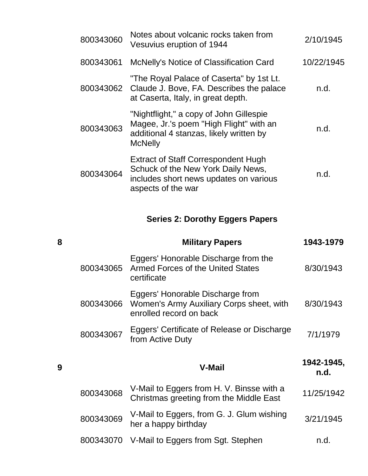| 800343060 | Notes about volcanic rocks taken from<br>Vesuvius eruption of 1944                                                                               | 2/10/1945  |
|-----------|--------------------------------------------------------------------------------------------------------------------------------------------------|------------|
| 800343061 | McNelly's Notice of Classification Card                                                                                                          | 10/22/1945 |
|           | "The Royal Palace of Caserta" by 1st Lt.<br>800343062 Claude J. Bove, FA. Describes the palace<br>at Caserta, Italy, in great depth.             | n.d.       |
| 800343063 | "Nightflight," a copy of John Gillespie<br>Magee, Jr.'s poem "High Flight" with an<br>additional 4 stanzas, likely written by<br><b>McNelly</b>  | n.d.       |
| 800343064 | <b>Extract of Staff Correspondent Hugh</b><br>Schuck of the New York Daily News,<br>includes short news updates on various<br>aspects of the war | n.d.       |

### **Series 2: Dorothy Eggers Papers**

| 8 |           | <b>Military Papers</b>                                                                                  | 1943-1979          |
|---|-----------|---------------------------------------------------------------------------------------------------------|--------------------|
|   | 800343065 | Eggers' Honorable Discharge from the<br><b>Armed Forces of the United States</b><br>certificate         | 8/30/1943          |
|   | 800343066 | Eggers' Honorable Discharge from<br>Women's Army Auxiliary Corps sheet, with<br>enrolled record on back | 8/30/1943          |
|   | 800343067 | Eggers' Certificate of Release or Discharge<br>from Active Duty                                         | 7/1/1979           |
|   |           |                                                                                                         |                    |
| 9 |           | <b>V-Mail</b>                                                                                           | 1942-1945,<br>n.d. |
|   | 800343068 | V-Mail to Eggers from H. V. Binsse with a<br>Christmas greeting from the Middle East                    | 11/25/1942         |
|   | 800343069 | V-Mail to Eggers, from G. J. Glum wishing<br>her a happy birthday                                       | 3/21/1945          |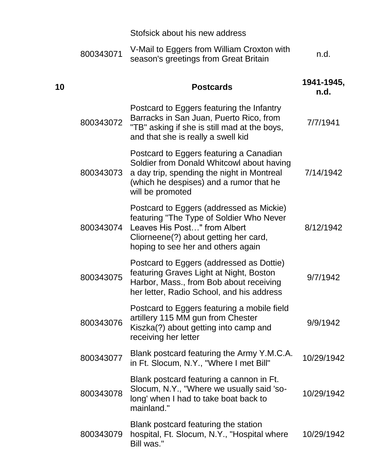|    |           | Stofsick about his new address                                                                                                                                                                      |                    |
|----|-----------|-----------------------------------------------------------------------------------------------------------------------------------------------------------------------------------------------------|--------------------|
|    | 800343071 | V-Mail to Eggers from William Croxton with<br>season's greetings from Great Britain                                                                                                                 | n.d.               |
| 10 |           | <b>Postcards</b>                                                                                                                                                                                    | 1941-1945,<br>n.d. |
|    | 800343072 | Postcard to Eggers featuring the Infantry<br>Barracks in San Juan, Puerto Rico, from<br>"TB" asking if she is still mad at the boys,<br>and that she is really a swell kid                          | 7/7/1941           |
|    | 800343073 | Postcard to Eggers featuring a Canadian<br>Soldier from Donald Whitcowl about having<br>a day trip, spending the night in Montreal<br>(which he despises) and a rumor that he<br>will be promoted   | 7/14/1942          |
|    | 800343074 | Postcard to Eggers (addressed as Mickie)<br>featuring "The Type of Soldier Who Never<br>Leaves His Post" from Albert<br>Cliorneene(?) about getting her card,<br>hoping to see her and others again | 8/12/1942          |
|    | 800343075 | Postcard to Eggers (addressed as Dottie)<br>featuring Graves Light at Night, Boston<br>Harbor, Mass., from Bob about receiving<br>her letter, Radio School, and his address                         | 9/7/1942           |
|    | 800343076 | Postcard to Eggers featuring a mobile field<br>artillery 115 MM gun from Chester<br>Kiszka(?) about getting into camp and<br>receiving her letter                                                   | 9/9/1942           |
|    | 800343077 | Blank postcard featuring the Army Y.M.C.A.<br>in Ft. Slocum, N.Y., "Where I met Bill"                                                                                                               | 10/29/1942         |
|    | 800343078 | Blank postcard featuring a cannon in Ft.<br>Slocum, N.Y., "Where we usually said 'so-<br>long' when I had to take boat back to<br>mainland."                                                        | 10/29/1942         |
|    | 800343079 | Blank postcard featuring the station<br>hospital, Ft. Slocum, N.Y., "Hospital where<br>Bill was."                                                                                                   | 10/29/1942         |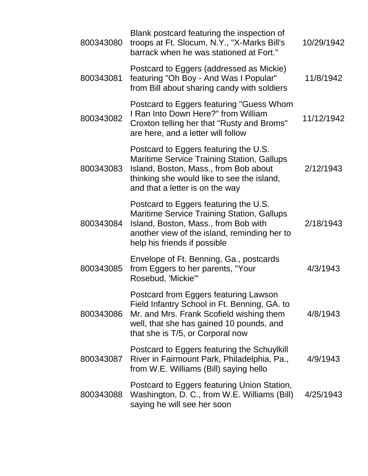| 800343080 | Blank postcard featuring the inspection of<br>troops at Ft. Slocum, N.Y., "X-Marks Bill's<br>barrack when he was stationed at Fort."                                                                                 | 10/29/1942 |
|-----------|----------------------------------------------------------------------------------------------------------------------------------------------------------------------------------------------------------------------|------------|
| 800343081 | Postcard to Eggers (addressed as Mickie)<br>featuring "Oh Boy - And Was I Popular"<br>from Bill about sharing candy with soldiers                                                                                    | 11/8/1942  |
| 800343082 | Postcard to Eggers featuring "Guess Whom<br>I Ran Into Down Here?" from William<br>Croxton telling her that "Rusty and Broms"<br>are here, and a letter will follow                                                  | 11/12/1942 |
| 800343083 | Postcard to Eggers featuring the U.S.<br><b>Maritime Service Training Station, Gallups</b><br>Island, Boston, Mass., from Bob about<br>thinking she would like to see the island,<br>and that a letter is on the way | 2/12/1943  |
| 800343084 | Postcard to Eggers featuring the U.S.<br><b>Maritime Service Training Station, Gallups</b><br>Island, Boston, Mass., from Bob with<br>another view of the island, reminding her to<br>help his friends if possible   | 2/18/1943  |
| 800343085 | Envelope of Ft. Benning, Ga., postcards<br>from Eggers to her parents, "Your<br>Rosebud, 'Mickie'"                                                                                                                   | 4/3/1943   |
| 800343086 | Postcard from Eggers featuring Lawson<br>Field Infantry School in Ft. Benning, GA. to<br>Mr. and Mrs. Frank Scofield wishing them<br>well, that she has gained 10 pounds, and<br>that she is T/5, or Corporal now    | 4/8/1943   |
| 800343087 | Postcard to Eggers featuring the Schuylkill<br>River in Fairmount Park, Philadelphia, Pa.,<br>from W.E. Williams (Bill) saying hello                                                                                 | 4/9/1943   |
| 800343088 | Postcard to Eggers featuring Union Station,<br>Washington, D. C., from W.E. Williams (Bill)<br>saying he will see her soon                                                                                           | 4/25/1943  |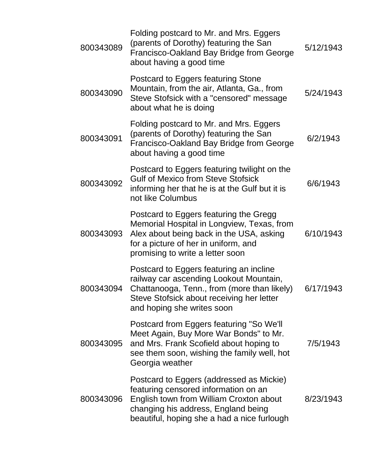| 800343089 | Folding postcard to Mr. and Mrs. Eggers<br>(parents of Dorothy) featuring the San<br>Francisco-Oakland Bay Bridge from George<br>about having a good time                                                         | 5/12/1943 |
|-----------|-------------------------------------------------------------------------------------------------------------------------------------------------------------------------------------------------------------------|-----------|
| 800343090 | Postcard to Eggers featuring Stone<br>Mountain, from the air, Atlanta, Ga., from<br>Steve Stofsick with a "censored" message<br>about what he is doing                                                            | 5/24/1943 |
| 800343091 | Folding postcard to Mr. and Mrs. Eggers<br>(parents of Dorothy) featuring the San<br>Francisco-Oakland Bay Bridge from George<br>about having a good time                                                         | 6/2/1943  |
| 800343092 | Postcard to Eggers featuring twilight on the<br><b>Gulf of Mexico from Steve Stofsick</b><br>informing her that he is at the Gulf but it is<br>not like Columbus                                                  | 6/6/1943  |
| 800343093 | Postcard to Eggers featuring the Gregg<br>Memorial Hospital in Longview, Texas, from<br>Alex about being back in the USA, asking<br>for a picture of her in uniform, and<br>promising to write a letter soon      | 6/10/1943 |
| 800343094 | Postcard to Eggers featuring an incline<br>railway car ascending Lookout Mountain,<br>Chattanooga, Tenn., from (more than likely)<br>Steve Stofsick about receiving her letter<br>and hoping she writes soon      | 6/17/1943 |
| 800343095 | Postcard from Eggers featuring "So We'll<br>Meet Again, Buy More War Bonds" to Mr.<br>and Mrs. Frank Scofield about hoping to<br>see them soon, wishing the family well, hot<br>Georgia weather                   | 7/5/1943  |
| 800343096 | Postcard to Eggers (addressed as Mickie)<br>featuring censored information on an<br>English town from William Croxton about<br>changing his address, England being<br>beautiful, hoping she a had a nice furlough | 8/23/1943 |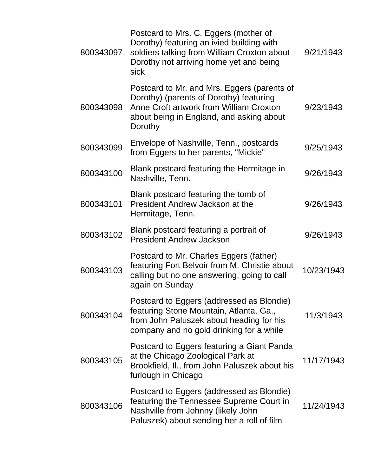| 800343097 | Postcard to Mrs. C. Eggers (mother of<br>Dorothy) featuring an ivied building with<br>soldiers talking from William Croxton about<br>Dorothy not arriving home yet and being<br>sick     | 9/21/1943  |
|-----------|------------------------------------------------------------------------------------------------------------------------------------------------------------------------------------------|------------|
| 800343098 | Postcard to Mr. and Mrs. Eggers (parents of<br>Dorothy) (parents of Dorothy) featuring<br>Anne Croft artwork from William Croxton<br>about being in England, and asking about<br>Dorothy | 9/23/1943  |
| 800343099 | Envelope of Nashville, Tenn., postcards<br>from Eggers to her parents, "Mickie"                                                                                                          | 9/25/1943  |
| 800343100 | Blank postcard featuring the Hermitage in<br>Nashville, Tenn.                                                                                                                            | 9/26/1943  |
| 800343101 | Blank postcard featuring the tomb of<br>President Andrew Jackson at the<br>Hermitage, Tenn.                                                                                              | 9/26/1943  |
| 800343102 | Blank postcard featuring a portrait of<br><b>President Andrew Jackson</b>                                                                                                                | 9/26/1943  |
| 800343103 | Postcard to Mr. Charles Eggers (father)<br>featuring Fort Belvoir from M. Christie about<br>calling but no one answering, going to call<br>again on Sunday                               | 10/23/1943 |
| 800343104 | Postcard to Eggers (addressed as Blondie)<br>featuring Stone Mountain, Atlanta, Ga.,<br>from John Paluszek about heading for his<br>company and no gold drinking for a while             | 11/3/1943  |
| 800343105 | Postcard to Eggers featuring a Giant Panda<br>at the Chicago Zoological Park at<br>Brookfield, II., from John Paluszek about his<br>furlough in Chicago                                  | 11/17/1943 |
| 800343106 | Postcard to Eggers (addressed as Blondie)<br>featuring the Tennessee Supreme Court in<br>Nashville from Johnny (likely John<br>Paluszek) about sending her a roll of film                | 11/24/1943 |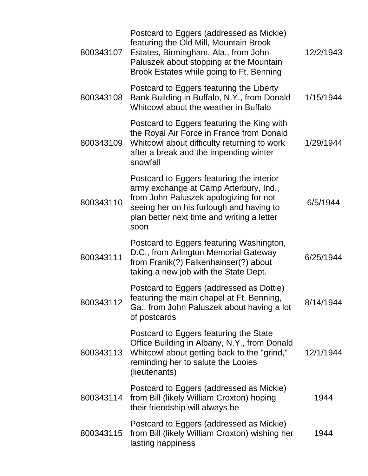| 800343107 | Postcard to Eggers (addressed as Mickie)<br>featuring the Old Mill, Mountain Brook<br>Estates, Birmingham, Ala., from John<br>Paluszek about stopping at the Mountain<br>Brook Estates while going to Ft. Benning               | 12/2/1943 |
|-----------|---------------------------------------------------------------------------------------------------------------------------------------------------------------------------------------------------------------------------------|-----------|
| 800343108 | Postcard to Eggers featuring the Liberty<br>Bank Building in Buffalo, N.Y., from Donald<br>Whitcowl about the weather in Buffalo                                                                                                | 1/15/1944 |
| 800343109 | Postcard to Eggers featuring the King with<br>the Royal Air Force in France from Donald<br>Whitcowl about difficulty returning to work<br>after a break and the impending winter<br>snowfall                                    | 1/29/1944 |
| 800343110 | Postcard to Eggers featuring the interior<br>army exchange at Camp Atterbury, Ind.,<br>from John Paluszek apologizing for not<br>seeing her on his furlough and having to<br>plan better next time and writing a letter<br>soon | 6/5/1944  |
| 800343111 | Postcard to Eggers featuring Washington,<br>D.C., from Arlington Memorial Gateway<br>from Franik(?) Falkenhainser(?) about<br>taking a new job with the State Dept.                                                             | 6/25/1944 |
| 800343112 | Postcard to Eggers (addressed as Dottie)<br>featuring the main chapel at Ft. Benning,<br>Ga., from John Paluszek about having a lot<br>of postcards                                                                             | 8/14/1944 |
| 800343113 | Postcard to Eggers featuring the State<br>Office Building in Albany, N.Y., from Donald<br>Whitcowl about getting back to the "grind,"<br>reminding her to salute the Looies<br>(lieutenants)                                    | 12/1/1944 |
| 800343114 | Postcard to Eggers (addressed as Mickie)<br>from Bill (likely William Croxton) hoping<br>their friendship will always be                                                                                                        | 1944      |
| 800343115 | Postcard to Eggers (addressed as Mickie)<br>from Bill (likely William Croxton) wishing her<br>lasting happiness                                                                                                                 | 1944      |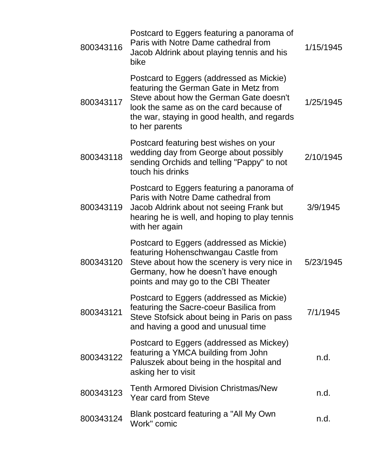| 800343116 | Postcard to Eggers featuring a panorama of<br>Paris with Notre Dame cathedral from<br>Jacob Aldrink about playing tennis and his<br>bike                                                                                                   | 1/15/1945 |
|-----------|--------------------------------------------------------------------------------------------------------------------------------------------------------------------------------------------------------------------------------------------|-----------|
| 800343117 | Postcard to Eggers (addressed as Mickie)<br>featuring the German Gate in Metz from<br>Steve about how the German Gate doesn't<br>look the same as on the card because of<br>the war, staying in good health, and regards<br>to her parents | 1/25/1945 |
| 800343118 | Postcard featuring best wishes on your<br>wedding day from George about possibly<br>sending Orchids and telling "Pappy" to not<br>touch his drinks                                                                                         | 2/10/1945 |
| 800343119 | Postcard to Eggers featuring a panorama of<br>Paris with Notre Dame cathedral from<br>Jacob Aldrink about not seeing Frank but<br>hearing he is well, and hoping to play tennis<br>with her again                                          | 3/9/1945  |
| 800343120 | Postcard to Eggers (addressed as Mickie)<br>featuring Hohenschwangau Castle from<br>Steve about how the scenery is very nice in<br>Germany, how he doesn't have enough<br>points and may go to the CBI Theater                             | 5/23/1945 |
| 800343121 | Postcard to Eggers (addressed as Mickie)<br>featuring the Sacre-coeur Basilica from<br>Steve Stofsick about being in Paris on pass<br>and having a good and unusual time                                                                   | 7/1/1945  |
| 800343122 | Postcard to Eggers (addressed as Mickey)<br>featuring a YMCA building from John<br>Paluszek about being in the hospital and<br>asking her to visit                                                                                         | n.d.      |
| 800343123 | <b>Tenth Armored Division Christmas/New</b><br><b>Year card from Steve</b>                                                                                                                                                                 | n.d.      |
| 800343124 | Blank postcard featuring a "All My Own"<br>Work" comic                                                                                                                                                                                     | n.d.      |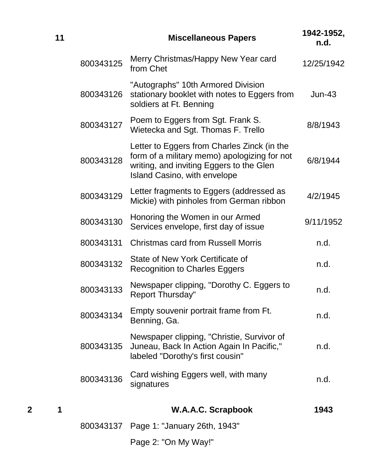|   | 11 |           | <b>Miscellaneous Papers</b>                                                                                                                                                    | 1942-1952,<br>n.d. |
|---|----|-----------|--------------------------------------------------------------------------------------------------------------------------------------------------------------------------------|--------------------|
|   |    | 800343125 | Merry Christmas/Happy New Year card<br>from Chet                                                                                                                               | 12/25/1942         |
|   |    | 800343126 | "Autographs" 10th Armored Division<br>stationary booklet with notes to Eggers from<br>soldiers at Ft. Benning                                                                  | $Jun-43$           |
|   |    | 800343127 | Poem to Eggers from Sgt. Frank S.<br>Wietecka and Sgt. Thomas F. Trello                                                                                                        | 8/8/1943           |
|   |    | 800343128 | Letter to Eggers from Charles Zinck (in the<br>form of a military memo) apologizing for not<br>writing, and inviting Eggers to the Glen<br><b>Island Casino, with envelope</b> | 6/8/1944           |
|   |    | 800343129 | Letter fragments to Eggers (addressed as<br>Mickie) with pinholes from German ribbon                                                                                           | 4/2/1945           |
|   |    | 800343130 | Honoring the Women in our Armed<br>Services envelope, first day of issue                                                                                                       | 9/11/1952          |
|   |    | 800343131 | <b>Christmas card from Russell Morris</b>                                                                                                                                      | n.d.               |
|   |    | 800343132 | State of New York Certificate of<br><b>Recognition to Charles Eggers</b>                                                                                                       | n.d.               |
|   |    | 800343133 | Newspaper clipping, "Dorothy C. Eggers to<br><b>Report Thursday"</b>                                                                                                           | n.d.               |
|   |    | 800343134 | Empty souvenir portrait frame from Ft.<br>Benning, Ga.                                                                                                                         | n.d.               |
|   |    | 800343135 | Newspaper clipping, "Christie, Survivor of<br>Juneau, Back In Action Again In Pacific,"<br>labeled "Dorothy's first cousin"                                                    | n.d.               |
|   |    | 800343136 | Card wishing Eggers well, with many<br>signatures                                                                                                                              | n.d.               |
| 2 | 1  |           | <b>W.A.A.C. Scrapbook</b>                                                                                                                                                      | 1943               |

800343137 Page 1: "January 26th, 1943"

Page 2: "On My Way!"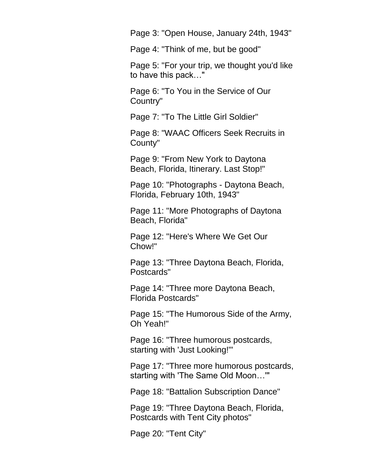Page 3: "Open House, January 24th, 1943"

Page 4: "Think of me, but be good"

Page 5: "For your trip, we thought you'd like to have this pack…"

Page 6: "To You in the Service of Our Country"

Page 7: "To The Little Girl Soldier"

Page 8: "WAAC Officers Seek Recruits in County"

Page 9: "From New York to Daytona Beach, Florida, Itinerary. Last Stop!"

Page 10: "Photographs - Daytona Beach, Florida, February 10th, 1943"

Page 11: "More Photographs of Daytona Beach, Florida"

Page 12: "Here's Where We Get Our Chow!"

Page 13: "Three Daytona Beach, Florida, Postcards"

Page 14: "Three more Daytona Beach, Florida Postcards"

Page 15: "The Humorous Side of the Army, Oh Yeah!"

Page 16: "Three humorous postcards, starting with 'Just Looking!'"

Page 17: "Three more humorous postcards, starting with 'The Same Old Moon…'"

Page 18: "Battalion Subscription Dance"

Page 19: "Three Daytona Beach, Florida, Postcards with Tent City photos"

Page 20: "Tent City"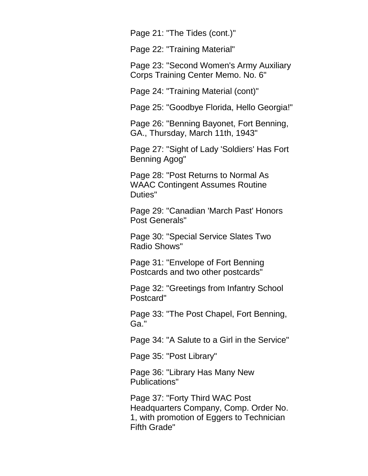Page 21: "The Tides (cont.)"

Page 22: "Training Material"

Page 23: "Second Women's Army Auxiliary Corps Training Center Memo. No. 6"

Page 24: "Training Material (cont)"

Page 25: "Goodbye Florida, Hello Georgia!"

Page 26: "Benning Bayonet, Fort Benning, GA., Thursday, March 11th, 1943"

Page 27: "Sight of Lady 'Soldiers' Has Fort Benning Agog"

Page 28: "Post Returns to Normal As WAAC Contingent Assumes Routine Duties"

Page 29: "Canadian 'March Past' Honors Post Generals"

Page 30: "Special Service Slates Two Radio Shows"

Page 31: "Envelope of Fort Benning Postcards and two other postcards"

Page 32: "Greetings from Infantry School Postcard"

Page 33: "The Post Chapel, Fort Benning, Ga."

Page 34: "A Salute to a Girl in the Service"

Page 35: "Post Library"

Page 36: "Library Has Many New Publications"

Page 37: "Forty Third WAC Post Headquarters Company, Comp. Order No. 1, with promotion of Eggers to Technician Fifth Grade"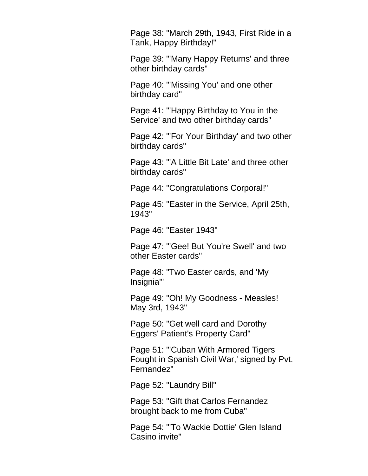Page 38: "March 29th, 1943, First Ride in a Tank, Happy Birthday!"

Page 39: "'Many Happy Returns' and three other birthday cards"

Page 40: "'Missing You' and one other birthday card"

Page 41: "'Happy Birthday to You in the Service' and two other birthday cards"

Page 42: "'For Your Birthday' and two other birthday cards"

Page 43: "'A Little Bit Late' and three other birthday cards"

Page 44: "Congratulations Corporal!"

Page 45: "Easter in the Service, April 25th, 1943"

Page 46: "Easter 1943"

Page 47: "'Gee! But You're Swell' and two other Easter cards"

Page 48: "Two Easter cards, and 'My Insignia'"

Page 49: "Oh! My Goodness - Measles! May 3rd, 1943"

Page 50: "Get well card and Dorothy Eggers' Patient's Property Card"

Page 51: "'Cuban With Armored Tigers Fought in Spanish Civil War,' signed by Pvt. Fernandez"

Page 52: "Laundry Bill"

Page 53: "Gift that Carlos Fernandez brought back to me from Cuba"

Page 54: "'To Wackie Dottie' Glen Island Casino invite"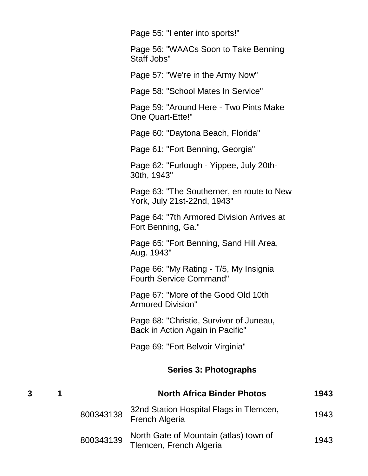Page 55: "I enter into sports!"

Page 56: "WAACs Soon to Take Benning Staff Jobs"

Page 57: "We're in the Army Now"

Page 58: "School Mates In Service"

Page 59: "Around Here - Two Pints Make One Quart-Ette!"

Page 60: "Daytona Beach, Florida"

Page 61: "Fort Benning, Georgia"

Page 62: "Furlough - Yippee, July 20th-30th, 1943"

Page 63: "The Southerner, en route to New York, July 21st-22nd, 1943"

Page 64: "7th Armored Division Arrives at Fort Benning, Ga."

Page 65: "Fort Benning, Sand Hill Area, Aug. 1943"

Page 66: "My Rating - T/5, My Insignia Fourth Service Command"

Page 67: "More of the Good Old 10th Armored Division"

Page 68: "Christie, Survivor of Juneau, Back in Action Again in Pacific"

Page 69: "Fort Belvoir Virginia"

#### **Series 3: Photographs**

|  |           | <b>North Africa Binder Photos</b>                                 | 1943 |
|--|-----------|-------------------------------------------------------------------|------|
|  | 800343138 | 32nd Station Hospital Flags in Tlemcen,<br><b>French Algeria</b>  | 1943 |
|  | 800343139 | North Gate of Mountain (atlas) town of<br>Tlemcen, French Algeria | 1943 |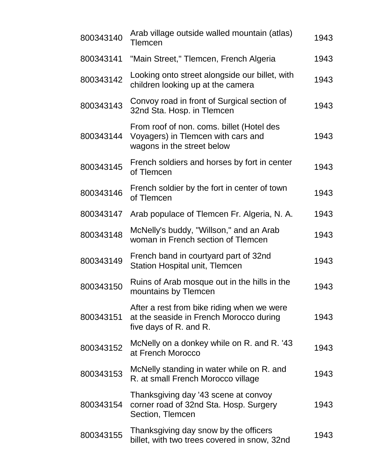| 800343140 | Arab village outside walled mountain (atlas)<br>Tlemcen                                                         | 1943 |
|-----------|-----------------------------------------------------------------------------------------------------------------|------|
| 800343141 | "Main Street," Tlemcen, French Algeria                                                                          | 1943 |
| 800343142 | Looking onto street alongside our billet, with<br>children looking up at the camera                             | 1943 |
| 800343143 | Convoy road in front of Surgical section of<br>32nd Sta. Hosp. in Tlemcen                                       | 1943 |
| 800343144 | From roof of non. coms. billet (Hotel des<br>Voyagers) in Tlemcen with cars and<br>wagons in the street below   | 1943 |
| 800343145 | French soldiers and horses by fort in center<br>of Tlemcen                                                      | 1943 |
| 800343146 | French soldier by the fort in center of town<br>of Tlemcen                                                      | 1943 |
| 800343147 | Arab populace of Tlemcen Fr. Algeria, N. A.                                                                     | 1943 |
| 800343148 | McNelly's buddy, "Willson," and an Arab<br>woman in French section of Tlemcen                                   | 1943 |
| 800343149 | French band in courtyard part of 32nd<br><b>Station Hospital unit, Tlemcen</b>                                  | 1943 |
| 800343150 | Ruins of Arab mosque out in the hills in the<br>mountains by Tlemcen                                            | 1943 |
| 800343151 | After a rest from bike riding when we were<br>at the seaside in French Morocco during<br>five days of R. and R. | 1943 |
| 800343152 | McNelly on a donkey while on R. and R. 43<br>at French Morocco                                                  | 1943 |
| 800343153 | McNelly standing in water while on R. and<br>R. at small French Morocco village                                 | 1943 |
| 800343154 | Thanksgiving day '43 scene at convoy<br>corner road of 32nd Sta. Hosp. Surgery<br>Section, Tlemcen              | 1943 |
| 800343155 | Thanksgiving day snow by the officers<br>billet, with two trees covered in snow, 32nd                           | 1943 |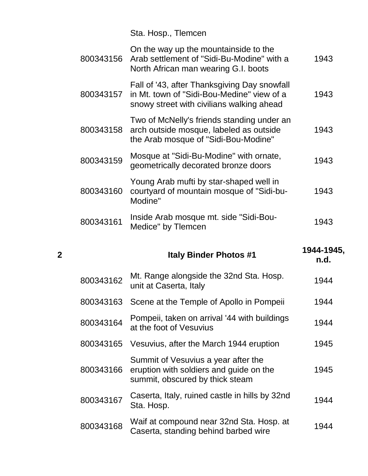Sta. Hosp., Tlemcen

|                | 800343156    | On the way up the mountainside to the<br>Arab settlement of "Sidi-Bu-Modine" with a<br>North African man wearing G.I. boots             | 1943                                 |
|----------------|--------------|-----------------------------------------------------------------------------------------------------------------------------------------|--------------------------------------|
|                | 800343157    | Fall of '43, after Thanksgiving Day snowfall<br>in Mt. town of "Sidi-Bou-Medine" view of a<br>snowy street with civilians walking ahead | 1943                                 |
|                | 800343158    | Two of McNelly's friends standing under an<br>arch outside mosque, labeled as outside<br>the Arab mosque of "Sidi-Bou-Modine"           | 1943                                 |
|                | 800343159    | Mosque at "Sidi-Bu-Modine" with ornate,<br>geometrically decorated bronze doors                                                         | 1943                                 |
|                | 800343160    | Young Arab mufti by star-shaped well in<br>courtyard of mountain mosque of "Sidi-bu-<br>Modine"                                         | 1943                                 |
|                | 800343161    | Inside Arab mosque mt. side "Sidi-Bou-<br>Medice" by Tlemcen                                                                            | 1943                                 |
| $\overline{2}$ |              | <b>Italy Binder Photos #1</b>                                                                                                           | 1944-1945,<br>n.d.                   |
|                | 800343162    | Mt. Range alongside the 32nd Sta. Hosp.<br>unit at Caserta, Italy                                                                       | 1944                                 |
|                | 800343163    | Scene at the Temple of Apollo in Pompeii                                                                                                | 1944                                 |
|                | $0.00010101$ | Pompeii, taken on arrival '44 with buildings                                                                                            | $\lambda$ $\cap$ $\lambda$ $\lambda$ |

| 800343162 | Mt. Range alongside the 32nd Sta. Hosp.<br>unit at Caserta, Italy                                                 | 1944 |
|-----------|-------------------------------------------------------------------------------------------------------------------|------|
| 800343163 | Scene at the Temple of Apollo in Pompeii                                                                          | 1944 |
| 800343164 | Pompeii, taken on arrival '44 with buildings<br>at the foot of Vesuvius                                           | 1944 |
| 800343165 | Vesuvius, after the March 1944 eruption                                                                           | 1945 |
| 800343166 | Summit of Vesuvius a year after the<br>eruption with soldiers and guide on the<br>summit, obscured by thick steam | 1945 |
| 800343167 | Caserta, Italy, ruined castle in hills by 32nd<br>Sta. Hosp.                                                      | 1944 |
| 800343168 | Waif at compound near 32nd Sta. Hosp. at<br>Caserta, standing behind barbed wire                                  | 1944 |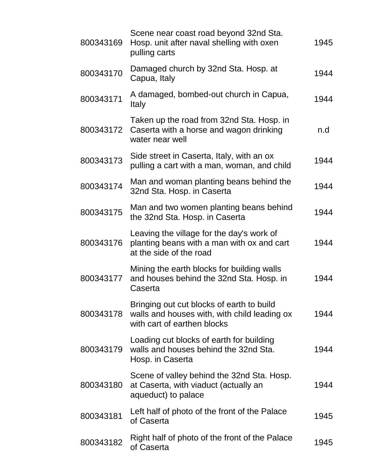| 800343169 | Scene near coast road beyond 32nd Sta.<br>Hosp. unit after naval shelling with oxen<br>pulling carts                     | 1945 |
|-----------|--------------------------------------------------------------------------------------------------------------------------|------|
| 800343170 | Damaged church by 32nd Sta. Hosp. at<br>Capua, Italy                                                                     | 1944 |
| 800343171 | A damaged, bombed-out church in Capua,<br>Italy                                                                          | 1944 |
| 800343172 | Taken up the road from 32nd Sta. Hosp. in<br>Caserta with a horse and wagon drinking<br>water near well                  | n.d  |
| 800343173 | Side street in Caserta, Italy, with an ox<br>pulling a cart with a man, woman, and child                                 | 1944 |
| 800343174 | Man and woman planting beans behind the<br>32nd Sta. Hosp. in Caserta                                                    | 1944 |
| 800343175 | Man and two women planting beans behind<br>the 32nd Sta. Hosp. in Caserta                                                | 1944 |
| 800343176 | Leaving the village for the day's work of<br>planting beans with a man with ox and cart<br>at the side of the road       | 1944 |
| 800343177 | Mining the earth blocks for building walls<br>and houses behind the 32nd Sta. Hosp. in<br>Caserta                        | 1944 |
| 800343178 | Bringing out cut blocks of earth to build<br>walls and houses with, with child leading ox<br>with cart of earthen blocks | 1944 |
| 800343179 | Loading cut blocks of earth for building<br>walls and houses behind the 32nd Sta.<br>Hosp. in Caserta                    | 1944 |
| 800343180 | Scene of valley behind the 32nd Sta. Hosp.<br>at Caserta, with viaduct (actually an<br>aqueduct) to palace               | 1944 |
| 800343181 | Left half of photo of the front of the Palace<br>of Caserta                                                              | 1945 |
| 800343182 | Right half of photo of the front of the Palace<br>of Caserta                                                             | 1945 |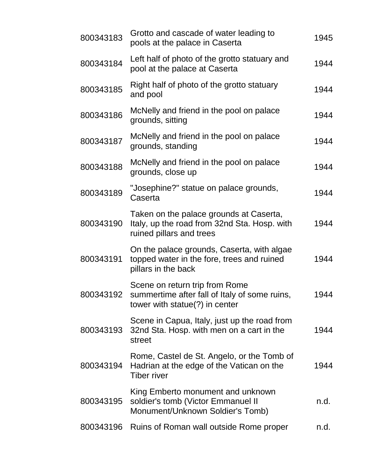| 800343183 | Grotto and cascade of water leading to<br>pools at the palace in Caserta                                            | 1945 |
|-----------|---------------------------------------------------------------------------------------------------------------------|------|
| 800343184 | Left half of photo of the grotto statuary and<br>pool at the palace at Caserta                                      | 1944 |
| 800343185 | Right half of photo of the grotto statuary<br>and pool                                                              | 1944 |
| 800343186 | McNelly and friend in the pool on palace<br>grounds, sitting                                                        | 1944 |
| 800343187 | McNelly and friend in the pool on palace<br>grounds, standing                                                       | 1944 |
| 800343188 | McNelly and friend in the pool on palace<br>grounds, close up                                                       | 1944 |
| 800343189 | "Josephine?" statue on palace grounds,<br>Caserta                                                                   | 1944 |
| 800343190 | Taken on the palace grounds at Caserta,<br>Italy, up the road from 32nd Sta. Hosp. with<br>ruined pillars and trees | 1944 |
| 800343191 | On the palace grounds, Caserta, with algae<br>topped water in the fore, trees and ruined<br>pillars in the back     | 1944 |
| 800343192 | Scene on return trip from Rome<br>summertime after fall of Italy of some ruins,<br>tower with statue(?) in center   | 1944 |
| 800343193 | Scene in Capua, Italy, just up the road from<br>32nd Sta. Hosp. with men on a cart in the<br>street                 | 1944 |
| 800343194 | Rome, Castel de St. Angelo, or the Tomb of<br>Hadrian at the edge of the Vatican on the<br><b>Tiber river</b>       | 1944 |
| 800343195 | King Emberto monument and unknown<br>soldier's tomb (Victor Emmanuel II<br>Monument/Unknown Soldier's Tomb)         | n.d. |
|           | 800343196 Ruins of Roman wall outside Rome proper                                                                   | n.d. |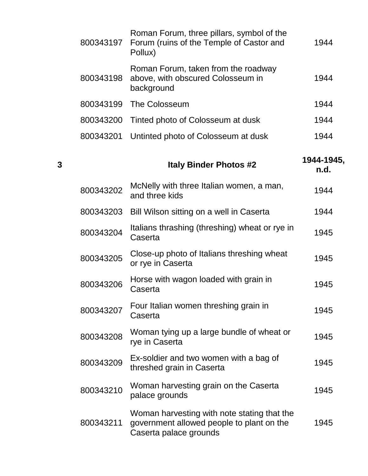|           | Roman Forum, three pillars, symbol of the<br>800343197 Forum (ruins of the Temple of Castor and<br>Pollux) | 1944 |
|-----------|------------------------------------------------------------------------------------------------------------|------|
| 800343198 | Roman Forum, taken from the roadway<br>above, with obscured Colosseum in<br>background                     | 1944 |
|           | 800343199 The Colosseum                                                                                    | 1944 |
| 800343200 | Tinted photo of Colosseum at dusk                                                                          | 1944 |
| 800343201 | Untinted photo of Colosseum at dusk                                                                        | 1944 |

| 3 |           | <b>Italy Binder Photos #2</b>                                                                                      | 1944-1945,<br>n.d. |
|---|-----------|--------------------------------------------------------------------------------------------------------------------|--------------------|
|   | 800343202 | McNelly with three Italian women, a man,<br>and three kids                                                         | 1944               |
|   | 800343203 | Bill Wilson sitting on a well in Caserta                                                                           | 1944               |
|   | 800343204 | Italians thrashing (threshing) wheat or rye in<br>Caserta                                                          | 1945               |
|   | 800343205 | Close-up photo of Italians threshing wheat<br>or rye in Caserta                                                    | 1945               |
|   | 800343206 | Horse with wagon loaded with grain in<br>Caserta                                                                   | 1945               |
|   | 800343207 | Four Italian women threshing grain in<br>Caserta                                                                   | 1945               |
|   | 800343208 | Woman tying up a large bundle of wheat or<br>rye in Caserta                                                        | 1945               |
|   | 800343209 | Ex-soldier and two women with a bag of<br>threshed grain in Caserta                                                | 1945               |
|   | 800343210 | Woman harvesting grain on the Caserta<br>palace grounds                                                            | 1945               |
|   | 800343211 | Woman harvesting with note stating that the<br>government allowed people to plant on the<br>Caserta palace grounds | 1945               |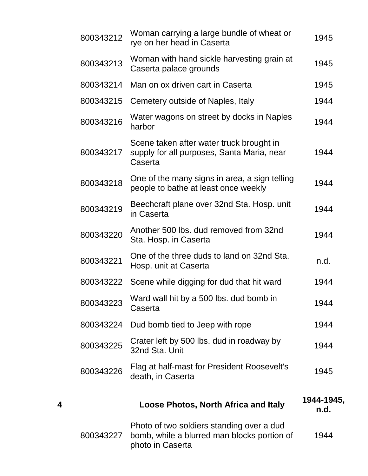|   | 800343212 | Woman carrying a large bundle of wheat or<br>rye on her head in Caserta                                      | 1945               |
|---|-----------|--------------------------------------------------------------------------------------------------------------|--------------------|
|   | 800343213 | Woman with hand sickle harvesting grain at<br>Caserta palace grounds                                         | 1945               |
|   | 800343214 | Man on ox driven cart in Caserta                                                                             | 1945               |
|   | 800343215 | Cemetery outside of Naples, Italy                                                                            | 1944               |
|   | 800343216 | Water wagons on street by docks in Naples<br>harbor                                                          | 1944               |
|   | 800343217 | Scene taken after water truck brought in<br>supply for all purposes, Santa Maria, near<br>Caserta            | 1944               |
|   | 800343218 | One of the many signs in area, a sign telling<br>people to bathe at least once weekly                        | 1944               |
|   | 800343219 | Beechcraft plane over 32nd Sta. Hosp. unit<br>in Caserta                                                     | 1944               |
|   | 800343220 | Another 500 lbs. dud removed from 32nd<br>Sta. Hosp. in Caserta                                              | 1944               |
|   | 800343221 | One of the three duds to land on 32nd Sta.<br>Hosp. unit at Caserta                                          | n.d.               |
|   | 800343222 | Scene while digging for dud that hit ward                                                                    | 1944               |
|   | 800343223 | Ward wall hit by a 500 lbs. dud bomb in<br>Caserta                                                           | 1944               |
|   | 800343224 | Dud bomb tied to Jeep with rope                                                                              | 1944               |
|   | 800343225 | Crater left by 500 lbs. dud in roadway by<br>32nd Sta. Unit                                                  | 1944               |
|   | 800343226 | Flag at half-mast for President Roosevelt's<br>death, in Caserta                                             | 1945               |
| 4 |           | <b>Loose Photos, North Africa and Italy</b>                                                                  | 1944-1945,<br>n.d. |
|   | 800343227 | Photo of two soldiers standing over a dud<br>bomb, while a blurred man blocks portion of<br>photo in Caserta | 1944               |
|   |           |                                                                                                              |                    |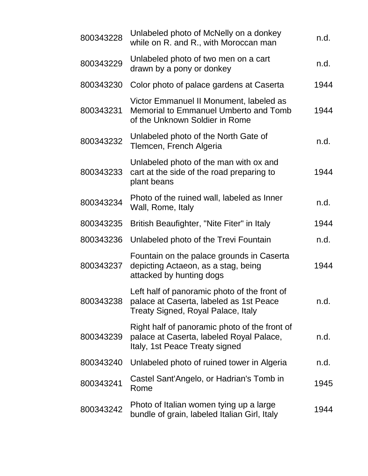| 800343228 | Unlabeled photo of McNelly on a donkey<br>while on R. and R., with Moroccan man                                               | n.d. |
|-----------|-------------------------------------------------------------------------------------------------------------------------------|------|
| 800343229 | Unlabeled photo of two men on a cart<br>drawn by a pony or donkey                                                             | n.d. |
| 800343230 | Color photo of palace gardens at Caserta                                                                                      | 1944 |
| 800343231 | Victor Emmanuel II Monument, labeled as<br>Memorial to Emmanuel Umberto and Tomb<br>of the Unknown Soldier in Rome            | 1944 |
| 800343232 | Unlabeled photo of the North Gate of<br>Tlemcen, French Algeria                                                               | n.d. |
| 800343233 | Unlabeled photo of the man with ox and<br>cart at the side of the road preparing to<br>plant beans                            | 1944 |
| 800343234 | Photo of the ruined wall, labeled as Inner<br>Wall, Rome, Italy                                                               | n.d. |
| 800343235 | British Beaufighter, "Nite Fiter" in Italy                                                                                    | 1944 |
| 800343236 | Unlabeled photo of the Trevi Fountain                                                                                         | n.d. |
| 800343237 | Fountain on the palace grounds in Caserta<br>depicting Actaeon, as a stag, being<br>attacked by hunting dogs                  | 1944 |
| 800343238 | Left half of panoramic photo of the front of<br>palace at Caserta, labeled as 1st Peace<br>Treaty Signed, Royal Palace, Italy | n.d. |
| 800343239 | Right half of panoramic photo of the front of<br>palace at Caserta, labeled Royal Palace,<br>Italy, 1st Peace Treaty signed   | n.d. |
| 800343240 | Unlabeled photo of ruined tower in Algeria                                                                                    | n.d. |
| 800343241 | Castel Sant'Angelo, or Hadrian's Tomb in<br>Rome                                                                              | 1945 |
| 800343242 | Photo of Italian women tying up a large<br>bundle of grain, labeled Italian Girl, Italy                                       | 1944 |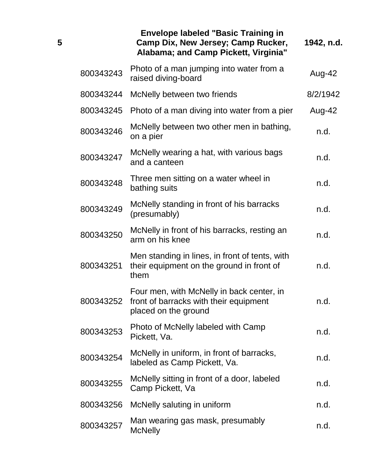|           | <b>Envelope labeled "Basic Training in</b><br>Camp Dix, New Jersey; Camp Rucker,<br>Alabama; and Camp Pickett, Virginia" | 1942, n.d. |
|-----------|--------------------------------------------------------------------------------------------------------------------------|------------|
| 800343243 | Photo of a man jumping into water from a<br>raised diving-board                                                          | Aug-42     |
| 800343244 | McNelly between two friends                                                                                              | 8/2/1942   |
| 800343245 | Photo of a man diving into water from a pier                                                                             | Aug-42     |
| 800343246 | McNelly between two other men in bathing,<br>on a pier                                                                   | n.d.       |
| 800343247 | McNelly wearing a hat, with various bags<br>and a canteen                                                                | n.d.       |
| 800343248 | Three men sitting on a water wheel in<br>bathing suits                                                                   | n.d.       |
| 800343249 | McNelly standing in front of his barracks<br>(presumably)                                                                | n.d.       |
| 800343250 | McNelly in front of his barracks, resting an<br>arm on his knee                                                          | n.d.       |
| 800343251 | Men standing in lines, in front of tents, with<br>their equipment on the ground in front of<br>them                      | n.d.       |
| 800343252 | Four men, with McNelly in back center, in<br>front of barracks with their equipment<br>placed on the ground              | n.d.       |
| 800343253 | Photo of McNelly labeled with Camp<br>Pickett, Va.                                                                       | n.d.       |
| 800343254 | McNelly in uniform, in front of barracks,<br>labeled as Camp Pickett, Va.                                                | n.d.       |
| 800343255 | McNelly sitting in front of a door, labeled<br>Camp Pickett, Va                                                          | n.d.       |
| 800343256 | McNelly saluting in uniform                                                                                              | n.d.       |
| 800343257 | Man wearing gas mask, presumably<br><b>McNelly</b>                                                                       | n.d.       |

**5**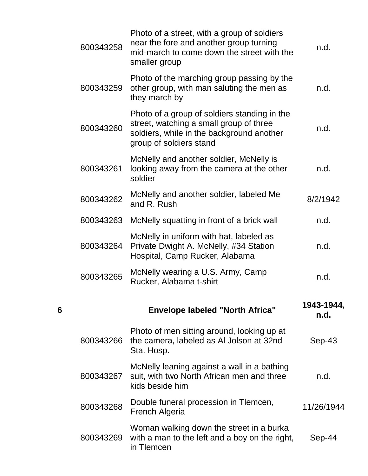|   | 800343258 | Photo of a street, with a group of soldiers<br>near the fore and another group turning<br>mid-march to come down the street with the<br>smaller group           | n.d.               |
|---|-----------|-----------------------------------------------------------------------------------------------------------------------------------------------------------------|--------------------|
|   | 800343259 | Photo of the marching group passing by the<br>other group, with man saluting the men as<br>they march by                                                        | n.d.               |
|   | 800343260 | Photo of a group of soldiers standing in the<br>street, watching a small group of three<br>soldiers, while in the background another<br>group of soldiers stand | n.d.               |
|   | 800343261 | McNelly and another soldier, McNelly is<br>looking away from the camera at the other<br>soldier                                                                 | n.d.               |
|   | 800343262 | McNelly and another soldier, labeled Me<br>and R. Rush                                                                                                          | 8/2/1942           |
|   | 800343263 | McNelly squatting in front of a brick wall                                                                                                                      | n.d.               |
|   | 800343264 | McNelly in uniform with hat, labeled as<br>Private Dwight A. McNelly, #34 Station<br>Hospital, Camp Rucker, Alabama                                             | n.d.               |
|   | 800343265 | McNelly wearing a U.S. Army, Camp<br>Rucker, Alabama t-shirt                                                                                                    | n.d.               |
| 6 |           | <b>Envelope labeled "North Africa"</b>                                                                                                                          | 1943-1944,<br>n.d. |
|   | 800343266 | Photo of men sitting around, looking up at<br>the camera, labeled as AI Jolson at 32nd<br>Sta. Hosp.                                                            | $Sep-43$           |
|   | 800343267 | McNelly leaning against a wall in a bathing<br>suit, with two North African men and three<br>kids beside him                                                    | n.d.               |
|   | 800343268 | Double funeral procession in Tlemcen,<br><b>French Algeria</b>                                                                                                  | 11/26/1944         |
|   | 800343269 | Woman walking down the street in a burka<br>with a man to the left and a boy on the right,<br>in Tlemcen                                                        | Sep-44             |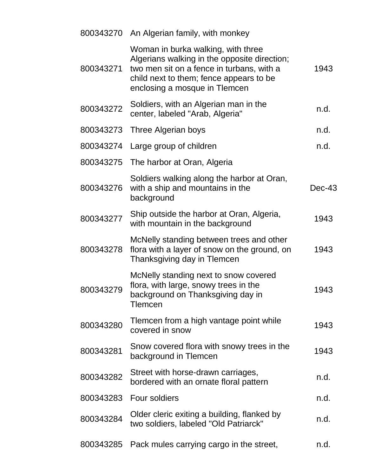|           | 800343270 An Algerian family, with monkey                                                                                                                                                                   |          |
|-----------|-------------------------------------------------------------------------------------------------------------------------------------------------------------------------------------------------------------|----------|
| 800343271 | Woman in burka walking, with three<br>Algerians walking in the opposite direction;<br>two men sit on a fence in turbans, with a<br>child next to them; fence appears to be<br>enclosing a mosque in Tlemcen | 1943     |
| 800343272 | Soldiers, with an Algerian man in the<br>center, labeled "Arab, Algeria"                                                                                                                                    | n.d.     |
| 800343273 | Three Algerian boys                                                                                                                                                                                         | n.d.     |
| 800343274 | Large group of children                                                                                                                                                                                     | n.d.     |
| 800343275 | The harbor at Oran, Algeria                                                                                                                                                                                 |          |
| 800343276 | Soldiers walking along the harbor at Oran,<br>with a ship and mountains in the<br>background                                                                                                                | $Dec-43$ |
| 800343277 | Ship outside the harbor at Oran, Algeria,<br>with mountain in the background                                                                                                                                | 1943     |
| 800343278 | McNelly standing between trees and other<br>flora with a layer of snow on the ground, on<br>Thanksgiving day in Tlemcen                                                                                     | 1943     |
| 800343279 | McNelly standing next to snow covered<br>flora, with large, snowy trees in the<br>background on Thanksgiving day in<br><b>Tlemcen</b>                                                                       | 1943     |
| 800343280 | Tlemcen from a high vantage point while<br>covered in snow                                                                                                                                                  | 1943     |
| 800343281 | Snow covered flora with snowy trees in the<br>background in Tlemcen                                                                                                                                         | 1943     |
| 800343282 | Street with horse-drawn carriages,<br>bordered with an ornate floral pattern                                                                                                                                | n.d.     |
| 800343283 | Four soldiers                                                                                                                                                                                               | n.d.     |
| 800343284 | Older cleric exiting a building, flanked by<br>two soldiers, labeled "Old Patriarck"                                                                                                                        | n.d.     |
| 800343285 | Pack mules carrying cargo in the street,                                                                                                                                                                    | n.d.     |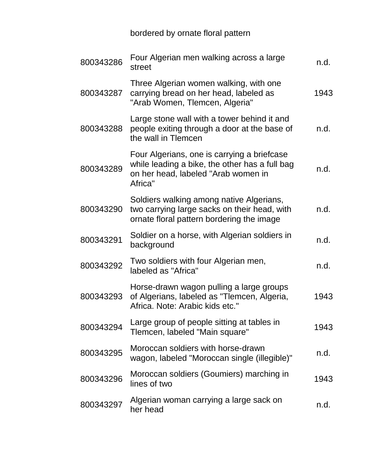## bordered by ornate floral pattern

| 800343286 | Four Algerian men walking across a large<br>street                                                                                              | n.d. |
|-----------|-------------------------------------------------------------------------------------------------------------------------------------------------|------|
| 800343287 | Three Algerian women walking, with one<br>carrying bread on her head, labeled as<br>"Arab Women, Tlemcen, Algeria"                              | 1943 |
| 800343288 | Large stone wall with a tower behind it and<br>people exiting through a door at the base of<br>the wall in Tlemcen                              | n.d. |
| 800343289 | Four Algerians, one is carrying a briefcase<br>while leading a bike, the other has a full bag<br>on her head, labeled "Arab women in<br>Africa" | n.d. |
| 800343290 | Soldiers walking among native Algerians,<br>two carrying large sacks on their head, with<br>ornate floral pattern bordering the image           | n.d. |
| 800343291 | Soldier on a horse, with Algerian soldiers in<br>background                                                                                     | n.d. |
| 800343292 | Two soldiers with four Algerian men,<br>labeled as "Africa"                                                                                     | n.d. |
| 800343293 | Horse-drawn wagon pulling a large groups<br>of Algerians, labeled as "Tlemcen, Algeria,<br>Africa. Note: Arabic kids etc."                      | 1943 |
| 800343294 | Large group of people sitting at tables in<br>Tlemcen, labeled "Main square"                                                                    | 1943 |
| 800343295 | Moroccan soldiers with horse-drawn<br>wagon, labeled "Moroccan single (illegible)"                                                              | n.d. |
| 800343296 | Moroccan soldiers (Goumiers) marching in<br>lines of two                                                                                        | 1943 |
| 800343297 | Algerian woman carrying a large sack on<br>her head                                                                                             | n.d. |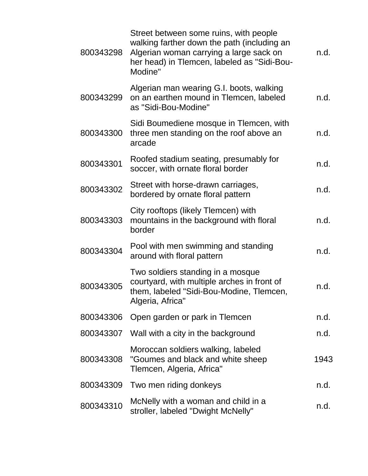| 800343298 | Street between some ruins, with people<br>walking farther down the path (including an<br>Algerian woman carrying a large sack on<br>her head) in Tlemcen, labeled as "Sidi-Bou-<br>Modine" | n.d. |
|-----------|--------------------------------------------------------------------------------------------------------------------------------------------------------------------------------------------|------|
| 800343299 | Algerian man wearing G.I. boots, walking<br>on an earthen mound in Tlemcen, labeled<br>as "Sidi-Bou-Modine"                                                                                | n.d. |
| 800343300 | Sidi Boumediene mosque in Tlemcen, with<br>three men standing on the roof above an<br>arcade                                                                                               | n.d. |
| 800343301 | Roofed stadium seating, presumably for<br>soccer, with ornate floral border                                                                                                                | n.d. |
| 800343302 | Street with horse-drawn carriages,<br>bordered by ornate floral pattern                                                                                                                    | n.d. |
| 800343303 | City rooftops (likely Tlemcen) with<br>mountains in the background with floral<br>border                                                                                                   | n.d. |
| 800343304 | Pool with men swimming and standing<br>around with floral pattern                                                                                                                          | n.d. |
| 800343305 | Two soldiers standing in a mosque<br>courtyard, with multiple arches in front of<br>them, labeled "Sidi-Bou-Modine, Tlemcen,<br>Algeria, Africa"                                           | n.d. |
| 800343306 | Open garden or park in Tlemcen                                                                                                                                                             | n.d. |
|           | 800343307 Wall with a city in the background                                                                                                                                               | n.d. |
| 800343308 | Moroccan soldiers walking, labeled<br>"Goumes and black and white sheep<br>Tlemcen, Algeria, Africa"                                                                                       | 1943 |
| 800343309 | Two men riding donkeys                                                                                                                                                                     | n.d. |
| 800343310 | McNelly with a woman and child in a<br>stroller, labeled "Dwight McNelly"                                                                                                                  | n.d. |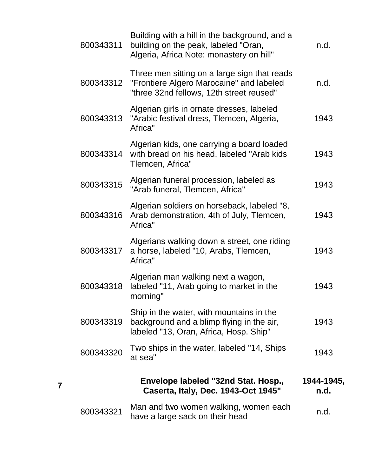| 800343311 | Building with a hill in the background, and a<br>building on the peak, labeled "Oran,<br>Algeria, Africa Note: monastery on hill"    | n.d.               |
|-----------|--------------------------------------------------------------------------------------------------------------------------------------|--------------------|
| 800343312 | Three men sitting on a large sign that reads<br>"Frontiere Algero Marocaine" and labeled<br>"three 32nd fellows, 12th street reused" | n.d.               |
| 800343313 | Algerian girls in ornate dresses, labeled<br>"Arabic festival dress, Tlemcen, Algeria,<br>Africa"                                    | 1943               |
| 800343314 | Algerian kids, one carrying a board loaded<br>with bread on his head, labeled "Arab kids"<br>Tlemcen, Africa"                        | 1943               |
| 800343315 | Algerian funeral procession, labeled as<br>"Arab funeral, Tlemcen, Africa"                                                           | 1943               |
| 800343316 | Algerian soldiers on horseback, labeled "8,<br>Arab demonstration, 4th of July, Tlemcen,<br>Africa"                                  | 1943               |
| 800343317 | Algerians walking down a street, one riding<br>a horse, labeled "10, Arabs, Tlemcen,<br>Africa"                                      | 1943               |
| 800343318 | Algerian man walking next a wagon,<br>labeled "11, Arab going to market in the<br>morning"                                           | 1943               |
| 800343319 | Ship in the water, with mountains in the<br>background and a blimp flying in the air,<br>labeled "13, Oran, Africa, Hosp. Ship"      | 1943               |
| 800343320 | Two ships in the water, labeled "14, Ships<br>at sea"                                                                                | 1943               |
|           | Envelope labeled "32nd Stat. Hosp.,<br>Caserta, Italy, Dec. 1943-Oct 1945"                                                           | 1944-1945,<br>n.d. |
| 800343321 | Man and two women walking, women each<br>have a large sack on their head                                                             | n.d.               |

**7**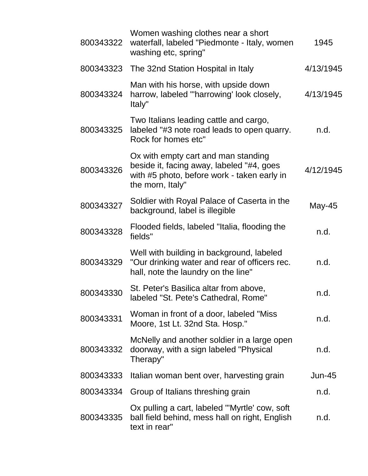| 800343322 | Women washing clothes near a short<br>waterfall, labeled "Piedmonte - Italy, women<br>washing etc, spring"                                          | 1945      |  |
|-----------|-----------------------------------------------------------------------------------------------------------------------------------------------------|-----------|--|
| 800343323 | The 32nd Station Hospital in Italy                                                                                                                  | 4/13/1945 |  |
| 800343324 | Man with his horse, with upside down<br>harrow, labeled "harrowing' look closely,<br>Italy"                                                         | 4/13/1945 |  |
| 800343325 | Two Italians leading cattle and cargo,<br>labeled "#3 note road leads to open quarry.<br>Rock for homes etc"                                        | n.d.      |  |
| 800343326 | Ox with empty cart and man standing<br>beside it, facing away, labeled "#4, goes<br>with #5 photo, before work - taken early in<br>the morn, Italy" | 4/12/1945 |  |
| 800343327 | Soldier with Royal Palace of Caserta in the<br>background, label is illegible                                                                       | May-45    |  |
| 800343328 | Flooded fields, labeled "Italia, flooding the<br>fields"                                                                                            | n.d.      |  |
| 800343329 | Well with building in background, labeled<br>"Our drinking water and rear of officers rec.<br>hall, note the laundry on the line"                   | n.d.      |  |
| 800343330 | St. Peter's Basilica altar from above,<br>labeled "St. Pete's Cathedral, Rome"                                                                      | n.d.      |  |
| 800343331 | Woman in front of a door, labeled "Miss"<br>Moore, 1st Lt. 32nd Sta. Hosp."                                                                         | n.d.      |  |
| 800343332 | McNelly and another soldier in a large open<br>doorway, with a sign labeled "Physical<br>Therapy"                                                   | n.d.      |  |
| 800343333 | Italian woman bent over, harvesting grain                                                                                                           | $Jun-45$  |  |
| 800343334 | Group of Italians threshing grain                                                                                                                   | n.d.      |  |
| 800343335 | Ox pulling a cart, labeled "'Myrtle' cow, soft<br>ball field behind, mess hall on right, English<br>text in rear"                                   | n.d.      |  |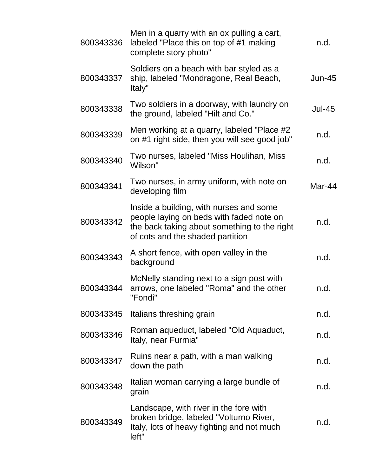| 800343336 | Men in a quarry with an ox pulling a cart,<br>labeled "Place this on top of #1 making<br>complete story photo"                                                          | n.d.          |
|-----------|-------------------------------------------------------------------------------------------------------------------------------------------------------------------------|---------------|
| 800343337 | Soldiers on a beach with bar styled as a<br>ship, labeled "Mondragone, Real Beach,<br>Italy"                                                                            | <b>Jun-45</b> |
| 800343338 | Two soldiers in a doorway, with laundry on<br>the ground, labeled "Hilt and Co."                                                                                        | <b>Jul-45</b> |
| 800343339 | Men working at a quarry, labeled "Place #2<br>on #1 right side, then you will see good job"                                                                             | n.d.          |
| 800343340 | Two nurses, labeled "Miss Houlihan, Miss<br>Wilson"                                                                                                                     | n.d.          |
| 800343341 | Two nurses, in army uniform, with note on<br>developing film                                                                                                            | Mar-44        |
| 800343342 | Inside a building, with nurses and some<br>people laying on beds with faded note on<br>the back taking about something to the right<br>of cots and the shaded partition | n.d.          |
| 800343343 | A short fence, with open valley in the<br>background                                                                                                                    | n.d.          |
| 800343344 | McNelly standing next to a sign post with<br>arrows, one labeled "Roma" and the other<br>"Fondi"                                                                        | n.d.          |
| 800343345 | Italians threshing grain                                                                                                                                                | n.d.          |
| 800343346 | Roman aqueduct, labeled "Old Aquaduct,<br>Italy, near Furmia"                                                                                                           | n.d.          |
| 800343347 | Ruins near a path, with a man walking<br>down the path                                                                                                                  | n.d.          |
| 800343348 | Italian woman carrying a large bundle of<br>grain                                                                                                                       | n.d.          |
| 800343349 | Landscape, with river in the fore with<br>broken bridge, labeled "Volturno River,<br>Italy, lots of heavy fighting and not much<br>left"                                | n.d.          |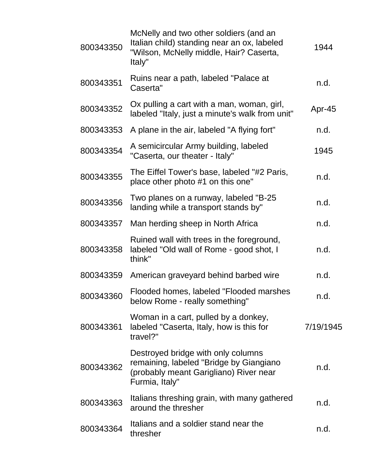| 800343350 | McNelly and two other soldiers (and an<br>Italian child) standing near an ox, labeled<br>"Wilson, McNelly middle, Hair? Caserta,<br>Italy" | 1944      |
|-----------|--------------------------------------------------------------------------------------------------------------------------------------------|-----------|
| 800343351 | Ruins near a path, labeled "Palace at<br>Caserta"                                                                                          | n.d.      |
| 800343352 | Ox pulling a cart with a man, woman, girl,<br>labeled "Italy, just a minute's walk from unit"                                              | Apr-45    |
| 800343353 | A plane in the air, labeled "A flying fort"                                                                                                | n.d.      |
| 800343354 | A semicircular Army building, labeled<br>"Caserta, our theater - Italy"                                                                    | 1945      |
| 800343355 | The Eiffel Tower's base, labeled "#2 Paris,<br>place other photo #1 on this one"                                                           | n.d.      |
| 800343356 | Two planes on a runway, labeled "B-25<br>landing while a transport stands by"                                                              | n.d.      |
| 800343357 | Man herding sheep in North Africa                                                                                                          | n.d.      |
| 800343358 | Ruined wall with trees in the foreground,<br>labeled "Old wall of Rome - good shot, I<br>think"                                            | n.d.      |
| 800343359 | American graveyard behind barbed wire                                                                                                      | n.d.      |
| 800343360 | Flooded homes, labeled "Flooded marshes<br>below Rome - really something"                                                                  | n.d       |
| 800343361 | Woman in a cart, pulled by a donkey,<br>labeled "Caserta, Italy, how is this for<br>travel?"                                               | 7/19/1945 |
| 800343362 | Destroyed bridge with only columns<br>remaining, labeled "Bridge by Giangiano<br>(probably meant Garigliano) River near<br>Furmia, Italy"  | n.d.      |
| 800343363 | Italians threshing grain, with many gathered<br>around the thresher                                                                        | n.d.      |
| 800343364 | Italians and a soldier stand near the<br>thresher                                                                                          | n.d.      |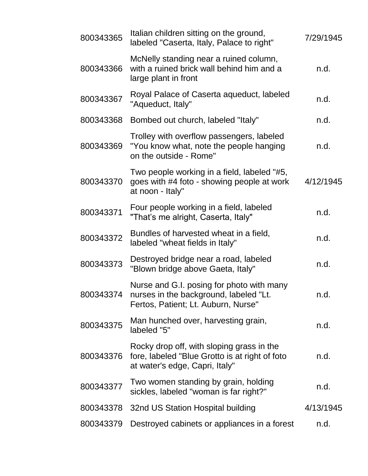| 800343365 | Italian children sitting on the ground,<br>labeled "Caserta, Italy, Palace to right"                                           | 7/29/1945 |
|-----------|--------------------------------------------------------------------------------------------------------------------------------|-----------|
| 800343366 | McNelly standing near a ruined column,<br>with a ruined brick wall behind him and a<br>large plant in front                    | n.d.      |
| 800343367 | Royal Palace of Caserta aqueduct, labeled<br>"Aqueduct, Italy"                                                                 | n.d.      |
| 800343368 | Bombed out church, labeled "Italy"                                                                                             | n.d.      |
| 800343369 | Trolley with overflow passengers, labeled<br>"You know what, note the people hanging<br>on the outside - Rome"                 | n.d.      |
| 800343370 | Two people working in a field, labeled "#5,<br>goes with #4 foto - showing people at work<br>at noon - Italy"                  | 4/12/1945 |
| 800343371 | Four people working in a field, labeled<br>"That's me alright, Caserta, Italy"                                                 | n.d.      |
| 800343372 | Bundles of harvested wheat in a field,<br>labeled "wheat fields in Italy"                                                      | n.d.      |
| 800343373 | Destroyed bridge near a road, labeled<br>"Blown bridge above Gaeta, Italy"                                                     | n.d.      |
| 800343374 | Nurse and G.I. posing for photo with many<br>nurses in the background, labeled "Lt.<br>Fertos, Patient; Lt. Auburn, Nurse"     | n.d.      |
| 800343375 | Man hunched over, harvesting grain,<br>labeled "5"                                                                             | n.d.      |
| 800343376 | Rocky drop off, with sloping grass in the<br>fore, labeled "Blue Grotto is at right of foto"<br>at water's edge, Capri, Italy" | n.d.      |
| 800343377 | Two women standing by grain, holding<br>sickles, labeled "woman is far right?"                                                 | n.d.      |
| 800343378 | 32nd US Station Hospital building                                                                                              | 4/13/1945 |
| 800343379 | Destroyed cabinets or appliances in a forest                                                                                   | n.d.      |
|           |                                                                                                                                |           |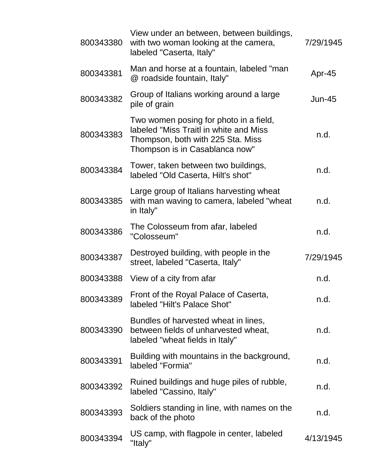| 800343380 | View under an between, between buildings,<br>with two woman looking at the camera,<br>labeled "Caserta, Italy"                                          | 7/29/1945 |
|-----------|---------------------------------------------------------------------------------------------------------------------------------------------------------|-----------|
| 800343381 | Man and horse at a fountain, labeled "man<br>@ roadside fountain, Italy"                                                                                | Apr-45    |
| 800343382 | Group of Italians working around a large<br>pile of grain                                                                                               | $Jun-45$  |
| 800343383 | Two women posing for photo in a field,<br>labeled "Miss Traitl in white and Miss<br>Thompson, both with 225 Sta. Miss<br>Thompson is in Casablanca now" | n.d.      |
| 800343384 | Tower, taken between two buildings,<br>labeled "Old Caserta, Hilt's shot"                                                                               | n.d.      |
| 800343385 | Large group of Italians harvesting wheat<br>with man waving to camera, labeled "wheat<br>in Italy"                                                      | n.d.      |
| 800343386 | The Colosseum from afar, labeled<br>"Colosseum"                                                                                                         | n.d.      |
| 800343387 | Destroyed building, with people in the<br>street, labeled "Caserta, Italy"                                                                              | 7/29/1945 |
| 800343388 | View of a city from afar                                                                                                                                | n.d.      |
| 800343389 | Front of the Royal Palace of Caserta,<br>labeled "Hilt's Palace Shot"                                                                                   | n.d.      |
| 800343390 | Bundles of harvested wheat in lines,<br>between fields of unharvested wheat,<br>labeled "wheat fields in Italy"                                         | n.d.      |
| 800343391 | Building with mountains in the background,<br>labeled "Formia"                                                                                          | n.d.      |
| 800343392 | Ruined buildings and huge piles of rubble,<br>labeled "Cassino, Italy"                                                                                  | n.d.      |
| 800343393 | Soldiers standing in line, with names on the<br>back of the photo                                                                                       | n.d.      |
| 800343394 | US camp, with flagpole in center, labeled<br>"Italy"                                                                                                    | 4/13/1945 |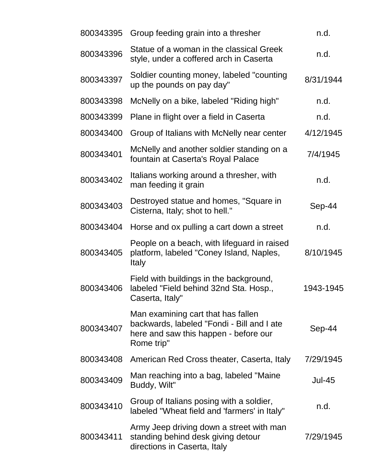| 800343395 | Group feeding grain into a thresher                                                                                                     | n.d.          |
|-----------|-----------------------------------------------------------------------------------------------------------------------------------------|---------------|
| 800343396 | Statue of a woman in the classical Greek<br>style, under a coffered arch in Caserta                                                     | n.d.          |
| 800343397 | Soldier counting money, labeled "counting<br>up the pounds on pay day"                                                                  | 8/31/1944     |
| 800343398 | McNelly on a bike, labeled "Riding high"                                                                                                | n.d.          |
| 800343399 | Plane in flight over a field in Caserta                                                                                                 | n.d.          |
| 800343400 | Group of Italians with McNelly near center                                                                                              | 4/12/1945     |
| 800343401 | McNelly and another soldier standing on a<br>fountain at Caserta's Royal Palace                                                         | 7/4/1945      |
| 800343402 | Italians working around a thresher, with<br>man feeding it grain                                                                        | n.d.          |
| 800343403 | Destroyed statue and homes, "Square in<br>Cisterna, Italy; shot to hell."                                                               | Sep-44        |
| 800343404 | Horse and ox pulling a cart down a street                                                                                               | n.d.          |
| 800343405 | People on a beach, with lifeguard in raised<br>platform, labeled "Coney Island, Naples,<br><b>Italy</b>                                 | 8/10/1945     |
| 800343406 | Field with buildings in the background,<br>labeled "Field behind 32nd Sta. Hosp.,<br>Caserta, Italy"                                    | 1943-1945     |
| 800343407 | Man examining cart that has fallen<br>backwards, labeled "Fondi - Bill and I ate<br>here and saw this happen - before our<br>Rome trip" | Sep-44        |
| 800343408 | American Red Cross theater, Caserta, Italy                                                                                              | 7/29/1945     |
| 800343409 | Man reaching into a bag, labeled "Maine<br>Buddy, Wilt"                                                                                 | <b>Jul-45</b> |
| 800343410 | Group of Italians posing with a soldier,<br>labeled "Wheat field and 'farmers' in Italy"                                                | n.d.          |
| 800343411 | Army Jeep driving down a street with man<br>standing behind desk giving detour<br>directions in Caserta, Italy                          | 7/29/1945     |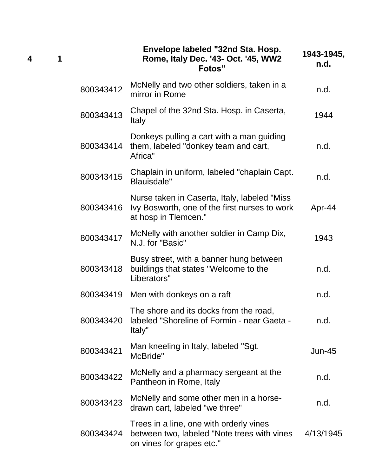| 1 |           | Envelope labeled "32nd Sta. Hosp.<br>Rome, Italy Dec. '43- Oct. '45, WW2<br>Fotos"                                     | 1943-1945,<br>n.d. |
|---|-----------|------------------------------------------------------------------------------------------------------------------------|--------------------|
|   | 800343412 | McNelly and two other soldiers, taken in a<br>mirror in Rome                                                           | n.d.               |
|   | 800343413 | Chapel of the 32nd Sta. Hosp. in Caserta,<br><b>Italy</b>                                                              | 1944               |
|   | 800343414 | Donkeys pulling a cart with a man guiding<br>them, labeled "donkey team and cart,<br>Africa"                           | n.d.               |
|   | 800343415 | Chaplain in uniform, labeled "chaplain Capt.<br>Blauisdale"                                                            | n.d.               |
|   | 800343416 | Nurse taken in Caserta, Italy, labeled "Miss"<br>Ivy Bosworth, one of the first nurses to work<br>at hosp in Tlemcen." | Apr-44             |
|   | 800343417 | McNelly with another soldier in Camp Dix,<br>N.J. for "Basic"                                                          | 1943               |
|   | 800343418 | Busy street, with a banner hung between<br>buildings that states "Welcome to the<br>Liberators"                        | n.d.               |
|   | 800343419 | Men with donkeys on a raft                                                                                             | n.d.               |
|   | 800343420 | The shore and its docks from the road,<br>labeled "Shoreline of Formin - near Gaeta -<br>Italy"                        | n.d.               |
|   | 800343421 | Man kneeling in Italy, labeled "Sgt.<br>McBride"                                                                       | Jun-45             |
|   | 800343422 | McNelly and a pharmacy sergeant at the<br>Pantheon in Rome, Italy                                                      | n.d.               |
|   | 800343423 | McNelly and some other men in a horse-<br>drawn cart, labeled "we three"                                               | n.d.               |
|   | 800343424 | Trees in a line, one with orderly vines<br>between two, labeled "Note trees with vines<br>on vines for grapes etc."    | 4/13/1945          |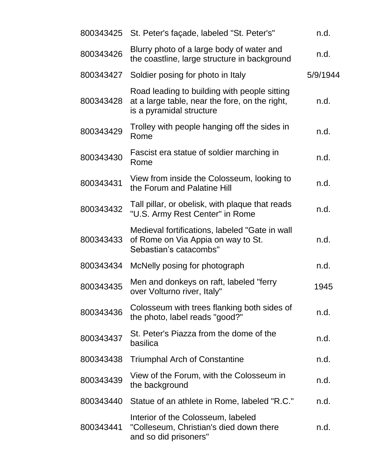| 800343425 | St. Peter's façade, labeled "St. Peter's"                                                                                  | n.d.     |
|-----------|----------------------------------------------------------------------------------------------------------------------------|----------|
| 800343426 | Blurry photo of a large body of water and<br>the coastline, large structure in background                                  | n.d.     |
| 800343427 | Soldier posing for photo in Italy                                                                                          | 5/9/1944 |
| 800343428 | Road leading to building with people sitting<br>at a large table, near the fore, on the right,<br>is a pyramidal structure | n.d.     |
| 800343429 | Trolley with people hanging off the sides in<br>Rome                                                                       | n.d.     |
| 800343430 | Fascist era statue of soldier marching in<br>Rome                                                                          | n.d.     |
| 800343431 | View from inside the Colosseum, looking to<br>the Forum and Palatine Hill                                                  | n.d.     |
| 800343432 | Tall pillar, or obelisk, with plaque that reads<br>"U.S. Army Rest Center" in Rome                                         | n.d.     |
| 800343433 | Medieval fortifications, labeled "Gate in wall<br>of Rome on Via Appia on way to St.<br>Sebastian's catacombs"             | n.d.     |
| 800343434 | McNelly posing for photograph                                                                                              | n.d.     |
| 800343435 | Men and donkeys on raft, labeled "ferry<br>over Volturno river, Italy"                                                     | 1945     |
| 800343436 | Colosseum with trees flanking both sides of<br>the photo, label reads "good?"                                              | n.d.     |
| 800343437 | St. Peter's Piazza from the dome of the<br>basilica                                                                        | n.d.     |
| 800343438 | <b>Triumphal Arch of Constantine</b>                                                                                       | n.d.     |
| 800343439 | View of the Forum, with the Colosseum in<br>the background                                                                 | n.d.     |
| 800343440 | Statue of an athlete in Rome, labeled "R.C."                                                                               | n.d.     |
| 800343441 | Interior of the Colosseum, labeled<br>"Colleseum, Christian's died down there<br>and so did prisoners"                     | n.d.     |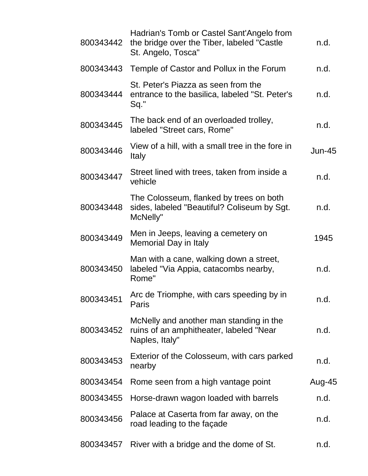| 800343442 | Hadrian's Tomb or Castel Sant'Angelo from<br>the bridge over the Tiber, labeled "Castle"<br>St. Angelo, Tosca" | n.d.     |
|-----------|----------------------------------------------------------------------------------------------------------------|----------|
| 800343443 | Temple of Castor and Pollux in the Forum                                                                       | n.d.     |
| 800343444 | St. Peter's Piazza as seen from the<br>entrance to the basilica, labeled "St. Peter's<br>Sq."                  | n.d.     |
| 800343445 | The back end of an overloaded trolley,<br>labeled "Street cars, Rome"                                          | n.d.     |
| 800343446 | View of a hill, with a small tree in the fore in<br><b>Italy</b>                                               | $Jun-45$ |
| 800343447 | Street lined with trees, taken from inside a<br>vehicle                                                        | n.d.     |
| 800343448 | The Colosseum, flanked by trees on both<br>sides, labeled "Beautiful? Coliseum by Sgt.<br>McNelly"             | n.d.     |
| 800343449 | Men in Jeeps, leaving a cemetery on<br>Memorial Day in Italy                                                   | 1945     |
| 800343450 | Man with a cane, walking down a street,<br>labeled "Via Appia, catacombs nearby,<br>Rome"                      | n.d.     |
| 800343451 | Arc de Triomphe, with cars speeding by in<br>Paris                                                             | n.d.     |
| 800343452 | McNelly and another man standing in the<br>ruins of an amphitheater, labeled "Near<br>Naples, Italy"           | n.d.     |
| 800343453 | Exterior of the Colosseum, with cars parked<br>nearby                                                          | n.d.     |
| 800343454 | Rome seen from a high vantage point                                                                            | Aug-45   |
| 800343455 | Horse-drawn wagon loaded with barrels                                                                          | n.d.     |
| 800343456 | Palace at Caserta from far away, on the<br>road leading to the façade                                          | n.d.     |
| 800343457 | River with a bridge and the dome of St.                                                                        | n.d.     |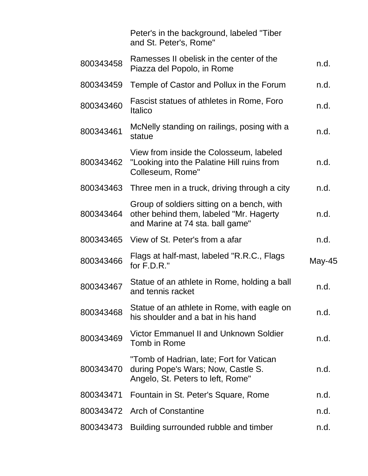|           | Peter's in the background, labeled "Tiber<br>and St. Peter's, Rome"                                                       |        |
|-----------|---------------------------------------------------------------------------------------------------------------------------|--------|
| 800343458 | Ramesses II obelisk in the center of the<br>Piazza del Popolo, in Rome                                                    | n.d.   |
| 800343459 | Temple of Castor and Pollux in the Forum                                                                                  | n.d.   |
| 800343460 | Fascist statues of athletes in Rome, Foro<br><b>Italico</b>                                                               | n.d.   |
| 800343461 | McNelly standing on railings, posing with a<br>statue                                                                     | n.d.   |
| 800343462 | View from inside the Colosseum, labeled<br>"Looking into the Palatine Hill ruins from<br>Colleseum, Rome"                 | n.d.   |
| 800343463 | Three men in a truck, driving through a city                                                                              | n.d.   |
| 800343464 | Group of soldiers sitting on a bench, with<br>other behind them, labeled "Mr. Hagerty<br>and Marine at 74 sta. ball game" | n.d.   |
| 800343465 | View of St. Peter's from a afar                                                                                           | n.d.   |
| 800343466 | Flags at half-mast, labeled "R.R.C., Flags<br>for $F.D.R.$ "                                                              | May-45 |
| 800343467 | Statue of an athlete in Rome, holding a ball<br>and tennis racket                                                         | n.d.   |
| 800343468 | Statue of an athlete in Rome, with eagle on<br>his shoulder and a bat in his hand                                         | n.d.   |
| 800343469 | Victor Emmanuel II and Unknown Soldier<br>Tomb in Rome                                                                    | n.d.   |
| 800343470 | "Tomb of Hadrian, late; Fort for Vatican<br>during Pope's Wars; Now, Castle S.<br>Angelo, St. Peters to left, Rome"       | n.d.   |
| 800343471 | Fountain in St. Peter's Square, Rome                                                                                      | n.d.   |
|           | 800343472 Arch of Constantine                                                                                             | n.d.   |
| 800343473 | Building surrounded rubble and timber                                                                                     | n.d.   |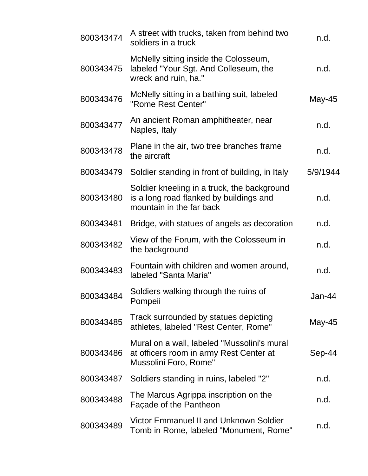| 800343474 | A street with trucks, taken from behind two<br>soldiers in a truck                                                 | n.d.     |
|-----------|--------------------------------------------------------------------------------------------------------------------|----------|
| 800343475 | McNelly sitting inside the Colosseum,<br>labeled "Your Sgt. And Colleseum, the<br>wreck and ruin, ha."             | n.d.     |
| 800343476 | McNelly sitting in a bathing suit, labeled<br>"Rome Rest Center"                                                   | May-45   |
| 800343477 | An ancient Roman amphitheater, near<br>Naples, Italy                                                               | n.d.     |
| 800343478 | Plane in the air, two tree branches frame<br>the aircraft                                                          | n.d.     |
| 800343479 | Soldier standing in front of building, in Italy                                                                    | 5/9/1944 |
| 800343480 | Soldier kneeling in a truck, the background<br>is a long road flanked by buildings and<br>mountain in the far back | n.d.     |
| 800343481 | Bridge, with statues of angels as decoration                                                                       | n.d.     |
| 800343482 | View of the Forum, with the Colosseum in<br>the background                                                         | n.d.     |
| 800343483 | Fountain with children and women around,<br>labeled "Santa Maria"                                                  | n.d.     |
| 800343484 | Soldiers walking through the ruins of<br>Pompeii                                                                   | Jan-44   |
| 800343485 | Track surrounded by statues depicting<br>athletes, labeled "Rest Center, Rome"                                     | May-45   |
| 800343486 | Mural on a wall, labeled "Mussolini's mural<br>at officers room in army Rest Center at<br>Mussolini Foro, Rome"    | Sep-44   |
| 800343487 | Soldiers standing in ruins, labeled "2"                                                                            | n.d.     |
| 800343488 | The Marcus Agrippa inscription on the<br>Façade of the Pantheon                                                    | n.d.     |
| 800343489 | Victor Emmanuel II and Unknown Soldier<br>Tomb in Rome, labeled "Monument, Rome"                                   | n.d.     |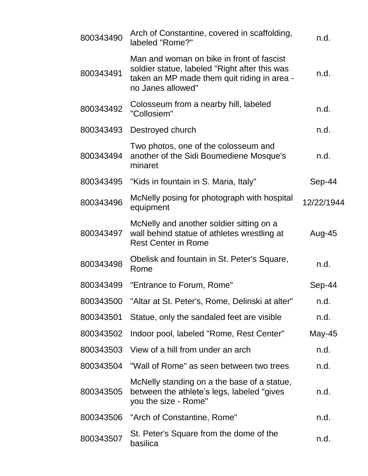| 800343490 | Arch of Constantine, covered in scaffolding,<br>labeled "Rome?"                                                                                                | n.d.       |
|-----------|----------------------------------------------------------------------------------------------------------------------------------------------------------------|------------|
| 800343491 | Man and woman on bike in front of fascist<br>soldier statue, labeled "Right after this was<br>taken an MP made them quit riding in area -<br>no Janes allowed" | n.d.       |
| 800343492 | Colosseum from a nearby hill, labeled<br>"Collosiem"                                                                                                           | n.d.       |
| 800343493 | Destroyed church                                                                                                                                               | n.d.       |
| 800343494 | Two photos, one of the colosseum and<br>another of the Sidi Boumediene Mosque's<br>minaret                                                                     | n.d.       |
| 800343495 | "Kids in fountain in S. Maria, Italy"                                                                                                                          | Sep-44     |
| 800343496 | McNelly posing for photograph with hospital<br>equipment                                                                                                       | 12/22/1944 |
| 800343497 | McNelly and another soldier sitting on a<br>wall behind statue of athletes wrestling at<br><b>Rest Center in Rome</b>                                          | Aug-45     |
| 800343498 | Obelisk and fountain in St. Peter's Square,<br>Rome                                                                                                            | n.d.       |
| 800343499 | "Entrance to Forum, Rome"                                                                                                                                      | Sep-44     |
| 800343500 | "Altar at St. Peter's, Rome, Delinski at alter"                                                                                                                | n.d.       |
| 800343501 | Statue, only the sandaled feet are visible                                                                                                                     | n.d.       |
| 800343502 | Indoor pool, labeled "Rome, Rest Center"                                                                                                                       | May-45     |
| 800343503 | View of a hill from under an arch                                                                                                                              | n.d.       |
| 800343504 | "Wall of Rome" as seen between two trees                                                                                                                       | n.d.       |
| 800343505 | McNelly standing on a the base of a statue,<br>between the athlete's legs, labeled "gives"<br>you the size - Rome"                                             | n.d.       |
| 800343506 | "Arch of Constantine, Rome"                                                                                                                                    | n.d.       |
| 800343507 | St. Peter's Square from the dome of the<br>basilica                                                                                                            | n.d.       |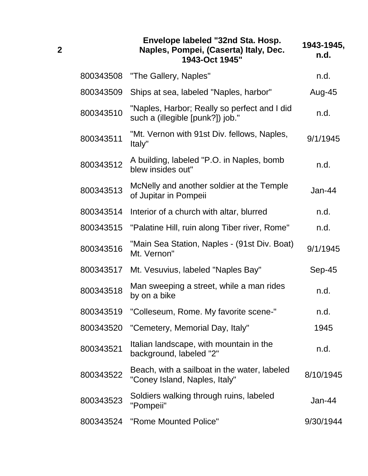|           | Envelope labeled "32nd Sta. Hosp.<br>Naples, Pompei, (Caserta) Italy, Dec.<br>1943-Oct 1945" | 1943-1945,<br>n.d. |
|-----------|----------------------------------------------------------------------------------------------|--------------------|
| 800343508 | "The Gallery, Naples"                                                                        | n.d.               |
| 800343509 | Ships at sea, labeled "Naples, harbor"                                                       | Aug-45             |
| 800343510 | "Naples, Harbor; Really so perfect and I did<br>such a (illegible [punk?]) job."             | n.d.               |
| 800343511 | "Mt. Vernon with 91st Div. fellows, Naples,<br>ltaly"                                        | 9/1/1945           |
| 800343512 | A building, labeled "P.O. in Naples, bomb<br>blew insides out"                               | n.d.               |
| 800343513 | McNelly and another soldier at the Temple<br>of Jupitar in Pompeii                           | Jan-44             |
| 800343514 | Interior of a church with altar, blurred                                                     | n.d.               |
| 800343515 | "Palatine Hill, ruin along Tiber river, Rome"                                                | n.d.               |
| 800343516 | "Main Sea Station, Naples - (91st Div. Boat)<br>Mt. Vernon"                                  | 9/1/1945           |
| 800343517 | Mt. Vesuvius, labeled "Naples Bay"                                                           | Sep-45             |
| 800343518 | Man sweeping a street, while a man rides<br>by on a bike                                     | n.d.               |
| 800343519 | "Colleseum, Rome. My favorite scene-"                                                        | n.d.               |
| 800343520 | "Cemetery, Memorial Day, Italy"                                                              | 1945               |
| 800343521 | Italian landscape, with mountain in the<br>background, labeled "2"                           | n.d.               |
| 800343522 | Beach, with a sailboat in the water, labeled<br>"Coney Island, Naples, Italy"                | 8/10/1945          |
| 800343523 | Soldiers walking through ruins, labeled<br>"Pompeii"                                         | Jan-44             |
| 800343524 | "Rome Mounted Police"                                                                        | 9/30/1944          |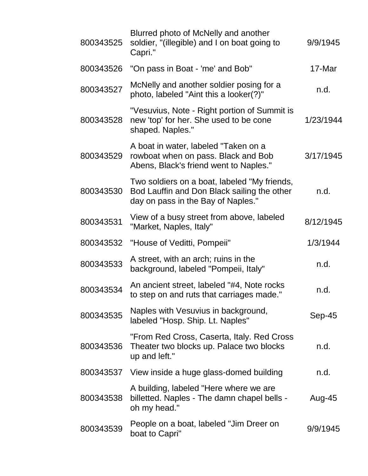| 800343525 | Blurred photo of McNelly and another<br>soldier, "(illegible) and I on boat going to<br>Capri."                                   | 9/9/1945  |
|-----------|-----------------------------------------------------------------------------------------------------------------------------------|-----------|
| 800343526 | "On pass in Boat - 'me' and Bob"                                                                                                  | 17-Mar    |
| 800343527 | McNelly and another soldier posing for a<br>photo, labeled "Aint this a looker(?)"                                                | n.d.      |
| 800343528 | "Vesuvius, Note - Right portion of Summit is<br>new 'top' for her. She used to be cone<br>shaped. Naples."                        | 1/23/1944 |
| 800343529 | A boat in water, labeled "Taken on a<br>rowboat when on pass. Black and Bob<br>Abens, Black's friend went to Naples."             | 3/17/1945 |
| 800343530 | Two soldiers on a boat, labeled "My friends,<br>Bod Lauffin and Don Black sailing the other<br>day on pass in the Bay of Naples." | n.d.      |
| 800343531 | View of a busy street from above, labeled<br>"Market, Naples, Italy"                                                              | 8/12/1945 |
| 800343532 | "House of Veditti, Pompeii"                                                                                                       | 1/3/1944  |
| 800343533 | A street, with an arch; ruins in the<br>background, labeled "Pompeii, Italy"                                                      | n.d.      |
| 800343534 | An ancient street, labeled "#4, Note rocks<br>to step on and ruts that carriages made."                                           | n.d.      |
| 800343535 | Naples with Vesuvius in background,<br>labeled "Hosp. Ship. Lt. Naples"                                                           | Sep-45    |
| 800343536 | "From Red Cross, Caserta, Italy. Red Cross<br>Theater two blocks up. Palace two blocks<br>up and left."                           | n.d.      |
| 800343537 | View inside a huge glass-domed building                                                                                           | n.d.      |
| 800343538 | A building, labeled "Here where we are<br>billetted. Naples - The damn chapel bells -<br>oh my head."                             | Aug-45    |
| 800343539 | People on a boat, labeled "Jim Dreer on<br>boat to Capri"                                                                         | 9/9/1945  |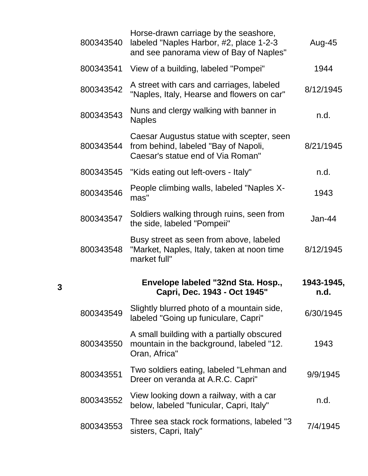| 800343540 | Horse-drawn carriage by the seashore,<br>labeled "Naples Harbor, #2, place 1-2-3<br>and see panorama view of Bay of Naples" | Aug-45             |
|-----------|-----------------------------------------------------------------------------------------------------------------------------|--------------------|
| 800343541 | View of a building, labeled "Pompei"                                                                                        | 1944               |
| 800343542 | A street with cars and carriages, labeled<br>"Naples, Italy, Hearse and flowers on car"                                     | 8/12/1945          |
| 800343543 | Nuns and clergy walking with banner in<br><b>Naples</b>                                                                     | n.d.               |
| 800343544 | Caesar Augustus statue with scepter, seen<br>from behind, labeled "Bay of Napoli,<br>Caesar's statue end of Via Roman"      | 8/21/1945          |
| 800343545 | "Kids eating out left-overs - Italy"                                                                                        | n.d.               |
| 800343546 | People climbing walls, labeled "Naples X-<br>mas"                                                                           | 1943               |
| 800343547 | Soldiers walking through ruins, seen from<br>the side, labeled "Pompeii"                                                    | $Jan-44$           |
| 800343548 | Busy street as seen from above, labeled<br>"Market, Naples, Italy, taken at noon time<br>market full"                       | 8/12/1945          |
|           | Envelope labeled "32nd Sta. Hosp.,<br>Capri, Dec. 1943 - Oct 1945"                                                          | 1943-1945,<br>n.d. |
| 800343549 | Slightly blurred photo of a mountain side,<br>labeled "Going up funiculare, Capri"                                          | 6/30/1945          |
| 800343550 | A small building with a partially obscured<br>mountain in the background, labeled "12.<br>Oran, Africa"                     | 1943               |
| 800343551 | Two soldiers eating, labeled "Lehman and<br>Dreer on veranda at A.R.C. Capri"                                               | 9/9/1945           |
| 800343552 | View looking down a railway, with a car<br>below, labeled "funicular, Capri, Italy"                                         | n.d.               |
| 800343553 | Three sea stack rock formations, labeled "3<br>sisters, Capri, Italy"                                                       | 7/4/1945           |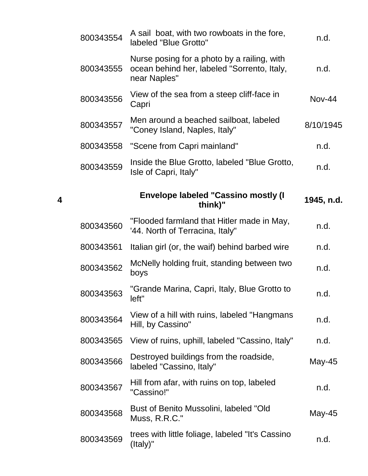| 800343554 | A sail boat, with two rowboats in the fore,<br>labeled "Blue Grotto"                                       | n.d.       |
|-----------|------------------------------------------------------------------------------------------------------------|------------|
| 800343555 | Nurse posing for a photo by a railing, with<br>ocean behind her, labeled "Sorrento, Italy,<br>near Naples" | n.d.       |
| 800343556 | View of the sea from a steep cliff-face in<br>Capri                                                        | Nov-44     |
| 800343557 | Men around a beached sailboat, labeled<br>"Coney Island, Naples, Italy"                                    | 8/10/1945  |
| 800343558 | "Scene from Capri mainland"                                                                                | n.d.       |
| 800343559 | Inside the Blue Grotto, labeled "Blue Grotto,<br>Isle of Capri, Italy"                                     | n.d.       |
|           | <b>Envelope labeled "Cassino mostly (I</b><br>think)"                                                      | 1945, n.d. |
| 800343560 | "Flooded farmland that Hitler made in May,<br>'44. North of Terracina, Italy"                              | n.d.       |
| 800343561 | Italian girl (or, the waif) behind barbed wire                                                             | n.d.       |
| 800343562 | McNelly holding fruit, standing between two<br>boys                                                        | n.d.       |
| 800343563 | "Grande Marina, Capri, Italy, Blue Grotto to<br>left"                                                      | n.d.       |
| 800343564 | View of a hill with ruins, labeled "Hangmans<br>Hill, by Cassino"                                          | n.d.       |
| 800343565 | View of ruins, uphill, labeled "Cassino, Italy"                                                            | n.d.       |
| 800343566 | Destroyed buildings from the roadside,<br>labeled "Cassino, Italy"                                         | May-45     |
| 800343567 | Hill from afar, with ruins on top, labeled<br>"Cassino!"                                                   | n.d.       |
| 800343568 | Bust of Benito Mussolini, labeled "Old<br>Muss, R.R.C."                                                    | May-45     |
| 800343569 | trees with little foliage, labeled "It's Cassino"<br>(Italy)"                                              | n.d.       |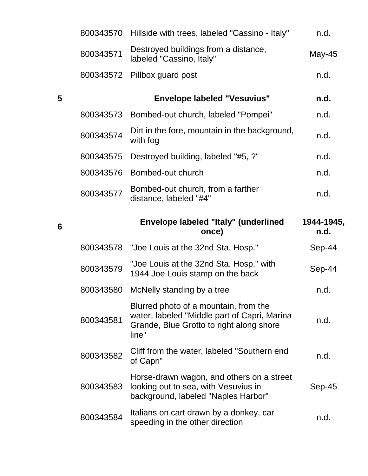|   | 800343570 | Hillside with trees, labeled "Cassino - Italy"                                                                                             | n.d.       |
|---|-----------|--------------------------------------------------------------------------------------------------------------------------------------------|------------|
|   | 800343571 | Destroyed buildings from a distance,<br>labeled "Cassino, Italy"                                                                           | May-45     |
|   | 800343572 | Pillbox guard post                                                                                                                         | n.d.       |
| 5 |           | <b>Envelope labeled "Vesuvius"</b>                                                                                                         | n.d.       |
|   | 800343573 | Bombed-out church, labeled "Pompei"                                                                                                        | n.d.       |
|   | 800343574 | Dirt in the fore, mountain in the background,<br>with fog                                                                                  | n.d.       |
|   | 800343575 | Destroyed building, labeled "#5, ?"                                                                                                        | n.d.       |
|   | 800343576 | Bombed-out church                                                                                                                          | n.d.       |
|   | 800343577 | Bombed-out church, from a farther<br>distance, labeled "#4"                                                                                | n.d.       |
|   |           | <b>Envelope labeled "Italy" (underlined</b>                                                                                                | 1944-1945, |
| 6 |           | once)                                                                                                                                      | n.d.       |
|   | 800343578 | "Joe Louis at the 32nd Sta. Hosp."                                                                                                         | Sep-44     |
|   | 800343579 | "Joe Louis at the 32nd Sta. Hosp." with<br>1944 Joe Louis stamp on the back                                                                | Sep-44     |
|   | 800343580 | McNelly standing by a tree                                                                                                                 | n.d.       |
|   | 800343581 | Blurred photo of a mountain, from the<br>water, labeled "Middle part of Capri, Marina<br>Grande, Blue Grotto to right along shore<br>line" | n.d.       |
|   | 800343582 | Cliff from the water, labeled "Southern end<br>of Capri"                                                                                   | n.d.       |
|   | 800343583 | Horse-drawn wagon, and others on a street<br>looking out to sea, with Vesuvius in<br>background, labeled "Naples Harbor"                   | Sep-45     |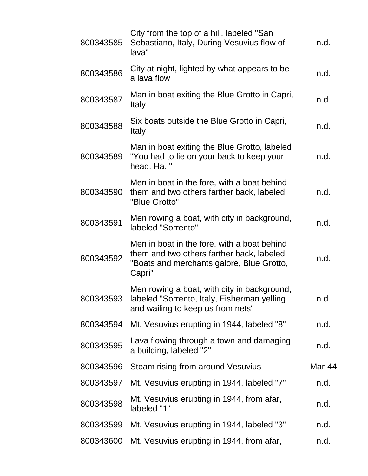| 800343585 | City from the top of a hill, labeled "San<br>Sebastiano, Italy, During Vesuvius flow of<br>lava"                                                | n.d.   |
|-----------|-------------------------------------------------------------------------------------------------------------------------------------------------|--------|
| 800343586 | City at night, lighted by what appears to be<br>a lava flow                                                                                     | n.d.   |
| 800343587 | Man in boat exiting the Blue Grotto in Capri,<br>Italy                                                                                          | n.d.   |
| 800343588 | Six boats outside the Blue Grotto in Capri,<br>Italy                                                                                            | n.d.   |
| 800343589 | Man in boat exiting the Blue Grotto, labeled<br>"You had to lie on your back to keep your<br>head. Ha. "                                        | n.d.   |
| 800343590 | Men in boat in the fore, with a boat behind<br>them and two others farther back, labeled<br>"Blue Grotto"                                       | n.d.   |
| 800343591 | Men rowing a boat, with city in background,<br>labeled "Sorrento"                                                                               | n.d.   |
| 800343592 | Men in boat in the fore, with a boat behind<br>them and two others farther back, labeled<br>"Boats and merchants galore, Blue Grotto,<br>Capri" | n.d.   |
| 800343593 | Men rowing a boat, with city in background,<br>labeled "Sorrento, Italy, Fisherman yelling<br>and wailing to keep us from nets"                 | n.d.   |
| 800343594 | Mt. Vesuvius erupting in 1944, labeled "8"                                                                                                      | n.d.   |
| 800343595 | Lava flowing through a town and damaging<br>a building, labeled "2"                                                                             | n.d.   |
| 800343596 | Steam rising from around Vesuvius                                                                                                               | Mar-44 |
| 800343597 | Mt. Vesuvius erupting in 1944, labeled "7"                                                                                                      | n.d.   |
| 800343598 | Mt. Vesuvius erupting in 1944, from afar,<br>labeled "1"                                                                                        | n.d.   |
| 800343599 | Mt. Vesuvius erupting in 1944, labeled "3"                                                                                                      | n.d.   |
| 800343600 | Mt. Vesuvius erupting in 1944, from afar,                                                                                                       | n.d.   |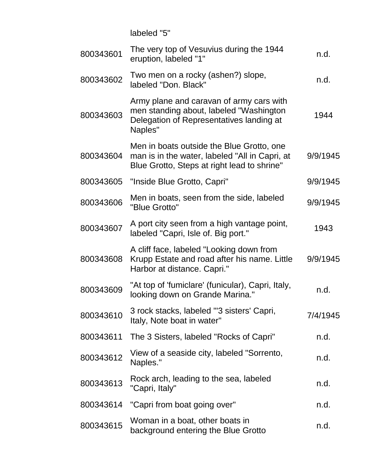labeled "5"

| 800343601 | The very top of Vesuvius during the 1944<br>eruption, labeled "1"                                                                          | n.d.     |
|-----------|--------------------------------------------------------------------------------------------------------------------------------------------|----------|
| 800343602 | Two men on a rocky (ashen?) slope,<br>labeled "Don. Black"                                                                                 | n.d.     |
| 800343603 | Army plane and caravan of army cars with<br>men standing about, labeled "Washington<br>Delegation of Representatives landing at<br>Naples" | 1944     |
| 800343604 | Men in boats outside the Blue Grotto, one<br>man is in the water, labeled "All in Capri, at<br>Blue Grotto, Steps at right lead to shrine" | 9/9/1945 |
| 800343605 | "Inside Blue Grotto, Capri"                                                                                                                | 9/9/1945 |
| 800343606 | Men in boats, seen from the side, labeled<br>"Blue Grotto"                                                                                 | 9/9/1945 |
| 800343607 | A port city seen from a high vantage point,<br>labeled "Capri, Isle of. Big port."                                                         | 1943     |
| 800343608 | A cliff face, labeled "Looking down from<br>Krupp Estate and road after his name. Little<br>Harbor at distance. Capri."                    | 9/9/1945 |
| 800343609 | "At top of 'fumiclare' (funicular), Capri, Italy,<br>looking down on Grande Marina."                                                       | n.d.     |
| 800343610 | 3 rock stacks, labeled "'3 sisters' Capri,<br>Italy, Note boat in water"                                                                   | 7/4/1945 |
| 800343611 | The 3 Sisters, labeled "Rocks of Capri"                                                                                                    | n.d.     |
| 800343612 | View of a seaside city, labeled "Sorrento,<br>Naples."                                                                                     | n.d.     |
| 800343613 | Rock arch, leading to the sea, labeled<br>"Capri, Italy"                                                                                   | n.d.     |
| 800343614 | "Capri from boat going over"                                                                                                               | n.d.     |
| 800343615 | Woman in a boat, other boats in<br>background entering the Blue Grotto                                                                     | n.d.     |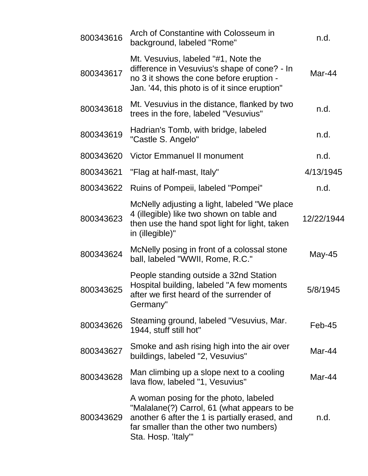| 800343616 | Arch of Constantine with Colosseum in<br>background, labeled "Rome"                                                                                                                                      | n.d.       |
|-----------|----------------------------------------------------------------------------------------------------------------------------------------------------------------------------------------------------------|------------|
| 800343617 | Mt. Vesuvius, labeled "#1, Note the<br>difference in Vesuvius's shape of cone? - In<br>no 3 it shows the cone before eruption -<br>Jan. '44, this photo is of it since eruption"                         | Mar-44     |
| 800343618 | Mt. Vesuvius in the distance, flanked by two<br>trees in the fore, labeled "Vesuvius"                                                                                                                    | n.d.       |
| 800343619 | Hadrian's Tomb, with bridge, labeled<br>"Castle S. Angelo"                                                                                                                                               | n.d.       |
| 800343620 | <b>Victor Emmanuel II monument</b>                                                                                                                                                                       | n.d.       |
| 800343621 | "Flag at half-mast, Italy"                                                                                                                                                                               | 4/13/1945  |
| 800343622 | Ruins of Pompeii, labeled "Pompei"                                                                                                                                                                       | n.d.       |
| 800343623 | McNelly adjusting a light, labeled "We place<br>4 (illegible) like two shown on table and<br>then use the hand spot light for light, taken<br>in (illegible)"                                            | 12/22/1944 |
| 800343624 | McNelly posing in front of a colossal stone<br>ball, labeled "WWII, Rome, R.C."                                                                                                                          | May-45     |
| 800343625 | People standing outside a 32nd Station<br>Hospital building, labeled "A few moments<br>after we first heard of the surrender of<br>Germany"                                                              | 5/8/1945   |
| 800343626 | Steaming ground, labeled "Vesuvius, Mar.<br>1944, stuff still hot"                                                                                                                                       | Feb-45     |
| 800343627 | Smoke and ash rising high into the air over<br>buildings, labeled "2, Vesuvius"                                                                                                                          | Mar-44     |
| 800343628 | Man climbing up a slope next to a cooling<br>lava flow, labeled "1, Vesuvius"                                                                                                                            | Mar-44     |
| 800343629 | A woman posing for the photo, labeled<br>"Malalane(?) Carrol, 61 (what appears to be<br>another 6 after the 1 is partially erased, and<br>far smaller than the other two numbers)<br>Sta. Hosp. 'Italy'" | n.d.       |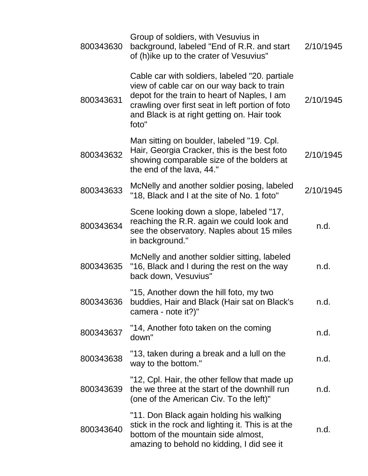| 800343630 | Group of soldiers, with Vesuvius in<br>background, labeled "End of R.R. and start<br>of (h)ike up to the crater of Vesuvius"                                                                                                                             | 2/10/1945 |
|-----------|----------------------------------------------------------------------------------------------------------------------------------------------------------------------------------------------------------------------------------------------------------|-----------|
| 800343631 | Cable car with soldiers, labeled "20. partiale<br>view of cable car on our way back to train<br>depot for the train to heart of Naples, I am<br>crawling over first seat in left portion of foto<br>and Black is at right getting on. Hair took<br>foto" | 2/10/1945 |
| 800343632 | Man sitting on boulder, labeled "19. Cpl.<br>Hair, Georgia Cracker, this is the best foto<br>showing comparable size of the bolders at<br>the end of the lava, 44."                                                                                      | 2/10/1945 |
| 800343633 | McNelly and another soldier posing, labeled<br>"18, Black and I at the site of No. 1 foto"                                                                                                                                                               | 2/10/1945 |
| 800343634 | Scene looking down a slope, labeled "17,<br>reaching the R.R. again we could look and<br>see the observatory. Naples about 15 miles<br>in background."                                                                                                   | n.d.      |
| 800343635 | McNelly and another soldier sitting, labeled<br>"16, Black and I during the rest on the way<br>back down, Vesuvius"                                                                                                                                      | n.d.      |
| 800343636 | "15, Another down the hill foto, my two<br>buddies, Hair and Black (Hair sat on Black's<br>camera - note it?)"                                                                                                                                           | n.d.      |
| 800343637 | "14, Another foto taken on the coming<br>down"                                                                                                                                                                                                           | n.d.      |
| 800343638 | "13, taken during a break and a lull on the<br>way to the bottom."                                                                                                                                                                                       | n.d.      |
| 800343639 | "12, Cpl. Hair, the other fellow that made up<br>the we three at the start of the downhill run<br>(one of the American Civ. To the left)"                                                                                                                | n.d.      |
| 800343640 | "11. Don Black again holding his walking<br>stick in the rock and lighting it. This is at the<br>bottom of the mountain side almost,<br>amazing to behold no kidding, I did see it                                                                       | n.d.      |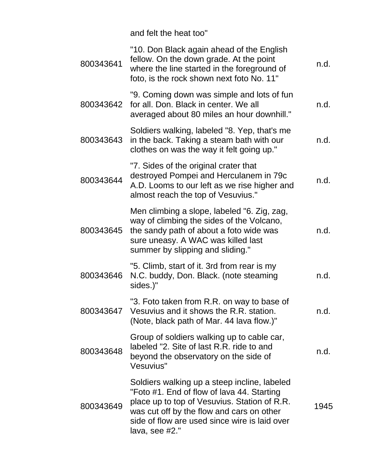and felt the heat too"

| 800343641 | "10. Don Black again ahead of the English<br>fellow. On the down grade. At the point<br>where the line started in the foreground of<br>foto, is the rock shown next foto No. 11"                                                                             | n.d. |
|-----------|--------------------------------------------------------------------------------------------------------------------------------------------------------------------------------------------------------------------------------------------------------------|------|
| 800343642 | "9. Coming down was simple and lots of fun<br>for all. Don. Black in center. We all<br>averaged about 80 miles an hour downhill."                                                                                                                            | n.d. |
| 800343643 | Soldiers walking, labeled "8. Yep, that's me<br>in the back. Taking a steam bath with our<br>clothes on was the way it felt going up."                                                                                                                       | n.d. |
| 800343644 | "7. Sides of the original crater that<br>destroyed Pompei and Herculanem in 79c<br>A.D. Looms to our left as we rise higher and<br>almost reach the top of Vesuvius."                                                                                        | n.d. |
| 800343645 | Men climbing a slope, labeled "6. Zig, zag,<br>way of climbing the sides of the Volcano,<br>the sandy path of about a foto wide was<br>sure uneasy. A WAC was killed last<br>summer by slipping and sliding."                                                | n.d. |
| 800343646 | "5. Climb, start of it. 3rd from rear is my<br>N.C. buddy, Don. Black. (note steaming<br>sides.)"                                                                                                                                                            | n.d. |
| 800343647 | "3. Foto taken from R.R. on way to base of<br>Vesuvius and it shows the R.R. station.<br>(Note, black path of Mar. 44 lava flow.)"                                                                                                                           | n.d. |
| 800343648 | Group of soldiers walking up to cable car,<br>labeled "2. Site of last R.R. ride to and<br>beyond the observatory on the side of<br>Vesuvius"                                                                                                                | n.d. |
| 800343649 | Soldiers walking up a steep incline, labeled<br>"Foto #1. End of flow of lava 44. Starting<br>place up to top of Vesuvius. Station of R.R.<br>was cut off by the flow and cars on other<br>side of flow are used since wire is laid over<br>lava, see $#2."$ | 1945 |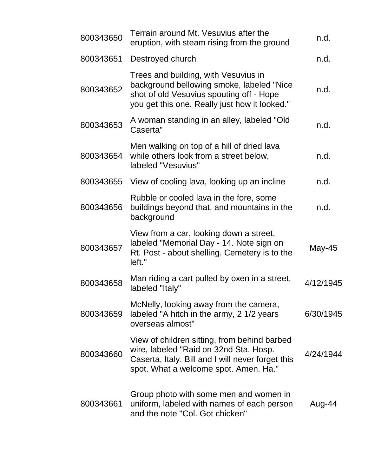| 800343650 | Terrain around Mt. Vesuvius after the<br>eruption, with steam rising from the ground                                                                                                 | n.d.      |
|-----------|--------------------------------------------------------------------------------------------------------------------------------------------------------------------------------------|-----------|
| 800343651 | Destroyed church                                                                                                                                                                     | n.d.      |
| 800343652 | Trees and building, with Vesuvius in<br>background bellowing smoke, labeled "Nice<br>shot of old Vesuvius spouting off - Hope<br>you get this one. Really just how it looked."       | n.d.      |
| 800343653 | A woman standing in an alley, labeled "Old<br>Caserta"                                                                                                                               | n.d.      |
| 800343654 | Men walking on top of a hill of dried lava<br>while others look from a street below,<br>labeled "Vesuvius"                                                                           | n.d.      |
| 800343655 | View of cooling lava, looking up an incline                                                                                                                                          | n.d.      |
| 800343656 | Rubble or cooled lava in the fore, some<br>buildings beyond that, and mountains in the<br>background                                                                                 | n.d.      |
| 800343657 | View from a car, looking down a street,<br>labeled "Memorial Day - 14. Note sign on<br>Rt. Post - about shelling. Cemetery is to the<br>left."                                       | May-45    |
| 800343658 | Man riding a cart pulled by oxen in a street,<br>labeled "Italy"                                                                                                                     | 4/12/1945 |
| 800343659 | McNelly, looking away from the camera,<br>labeled "A hitch in the army, 2 1/2 years<br>overseas almost"                                                                              | 6/30/1945 |
| 800343660 | View of children sitting, from behind barbed<br>wire, labeled "Raid on 32nd Sta. Hosp.<br>Caserta, Italy. Bill and I will never forget this<br>spot. What a welcome spot. Amen. Ha." | 4/24/1944 |
| 800343661 | Group photo with some men and women in<br>uniform, labeled with names of each person<br>and the note "Col. Got chicken"                                                              | Aug-44    |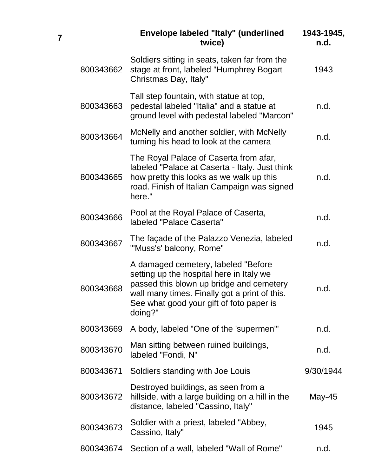|           | Envelope labeled "Italy" (underlined<br>twice)                                                                                                                                                                                      | 1943-1945,<br>n.d. |
|-----------|-------------------------------------------------------------------------------------------------------------------------------------------------------------------------------------------------------------------------------------|--------------------|
| 800343662 | Soldiers sitting in seats, taken far from the<br>stage at front, labeled "Humphrey Bogart<br>Christmas Day, Italy"                                                                                                                  | 1943               |
| 800343663 | Tall step fountain, with statue at top,<br>pedestal labeled "Italia" and a statue at<br>ground level with pedestal labeled "Marcon"                                                                                                 | n.d.               |
| 800343664 | McNelly and another soldier, with McNelly<br>turning his head to look at the camera                                                                                                                                                 | n.d.               |
| 800343665 | The Royal Palace of Caserta from afar,<br>labeled "Palace at Caserta - Italy. Just think<br>how pretty this looks as we walk up this<br>road. Finish of Italian Campaign was signed<br>here."                                       | n.d.               |
| 800343666 | Pool at the Royal Palace of Caserta,<br>labeled "Palace Caserta"                                                                                                                                                                    | n.d.               |
| 800343667 | The façade of the Palazzo Venezia, labeled<br>"'Muss's' balcony, Rome"                                                                                                                                                              | n.d.               |
| 800343668 | A damaged cemetery, labeled "Before<br>setting up the hospital here in Italy we<br>passed this blown up bridge and cemetery<br>wall many times. Finally got a print of this.<br>See what good your gift of foto paper is<br>doing?" | n.d.               |
| 800343669 | A body, labeled "One of the 'supermen'"                                                                                                                                                                                             | n.d.               |
| 800343670 | Man sitting between ruined buildings,<br>labeled "Fondi, N"                                                                                                                                                                         | n.d.               |
| 800343671 | Soldiers standing with Joe Louis                                                                                                                                                                                                    | 9/30/1944          |
| 800343672 | Destroyed buildings, as seen from a<br>hillside, with a large building on a hill in the<br>distance, labeled "Cassino, Italy"                                                                                                       | May-45             |
| 800343673 | Soldier with a priest, labeled "Abbey,<br>Cassino, Italy"                                                                                                                                                                           | 1945               |
| 800343674 | Section of a wall, labeled "Wall of Rome"                                                                                                                                                                                           | n.d.               |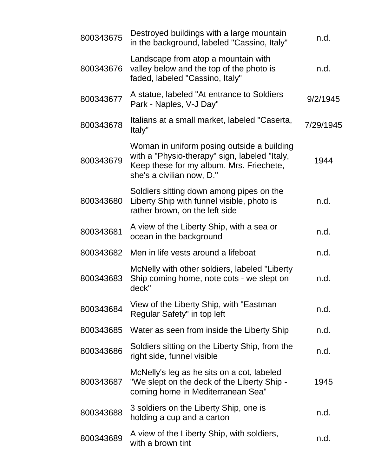| 800343675 | Destroyed buildings with a large mountain<br>in the background, labeled "Cassino, Italy"                                                                             | n.d.      |
|-----------|----------------------------------------------------------------------------------------------------------------------------------------------------------------------|-----------|
| 800343676 | Landscape from atop a mountain with<br>valley below and the top of the photo is<br>faded, labeled "Cassino, Italy"                                                   | n.d.      |
| 800343677 | A statue, labeled "At entrance to Soldiers"<br>Park - Naples, V-J Day"                                                                                               | 9/2/1945  |
| 800343678 | Italians at a small market, labeled "Caserta,<br>Italy"                                                                                                              | 7/29/1945 |
| 800343679 | Woman in uniform posing outside a building<br>with a "Physio-therapy" sign, labeled "Italy,<br>Keep these for my album. Mrs. Friechete,<br>she's a civilian now, D." | 1944      |
| 800343680 | Soldiers sitting down among pipes on the<br>Liberty Ship with funnel visible, photo is<br>rather brown, on the left side                                             | n.d.      |
| 800343681 | A view of the Liberty Ship, with a sea or<br>ocean in the background                                                                                                 | n.d.      |
| 800343682 | Men in life vests around a lifeboat                                                                                                                                  | n.d.      |
| 800343683 | McNelly with other soldiers, labeled "Liberty<br>Ship coming home, note cots - we slept on<br>deck"                                                                  | n.d.      |
| 800343684 | View of the Liberty Ship, with "Eastman<br>Regular Safety" in top left                                                                                               | n.d.      |
| 800343685 | Water as seen from inside the Liberty Ship                                                                                                                           | n.d.      |
| 800343686 | Soldiers sitting on the Liberty Ship, from the<br>right side, funnel visible                                                                                         | n.d.      |
| 800343687 | McNelly's leg as he sits on a cot, labeled<br>"We slept on the deck of the Liberty Ship -<br>coming home in Mediterranean Sea"                                       | 1945      |
| 800343688 | 3 soldiers on the Liberty Ship, one is<br>holding a cup and a carton                                                                                                 | n.d.      |
| 800343689 | A view of the Liberty Ship, with soldiers,<br>with a brown tint                                                                                                      | n.d.      |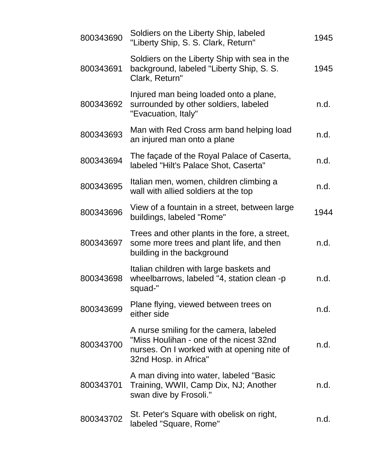| 800343690 | Soldiers on the Liberty Ship, labeled<br>"Liberty Ship, S. S. Clark, Return"                                                                               | 1945 |
|-----------|------------------------------------------------------------------------------------------------------------------------------------------------------------|------|
| 800343691 | Soldiers on the Liberty Ship with sea in the<br>background, labeled "Liberty Ship, S. S.<br>Clark, Return"                                                 | 1945 |
| 800343692 | Injured man being loaded onto a plane,<br>surrounded by other soldiers, labeled<br>"Evacuation, Italy"                                                     | n.d. |
| 800343693 | Man with Red Cross arm band helping load<br>an injured man onto a plane                                                                                    | n.d. |
| 800343694 | The façade of the Royal Palace of Caserta,<br>labeled "Hilt's Palace Shot, Caserta"                                                                        | n.d. |
| 800343695 | Italian men, women, children climbing a<br>wall with allied soldiers at the top                                                                            | n.d. |
| 800343696 | View of a fountain in a street, between large<br>buildings, labeled "Rome"                                                                                 | 1944 |
| 800343697 | Trees and other plants in the fore, a street,<br>some more trees and plant life, and then<br>building in the background                                    | n.d. |
| 800343698 | Italian children with large baskets and<br>wheelbarrows, labeled "4, station clean -p<br>squad-"                                                           | n.d. |
| 800343699 | Plane flying, viewed between trees on<br>either side                                                                                                       | n.d. |
| 800343700 | A nurse smiling for the camera, labeled<br>"Miss Houlihan - one of the nicest 32nd<br>nurses. On I worked with at opening nite of<br>32nd Hosp. in Africa" | n.d. |
| 800343701 | A man diving into water, labeled "Basic"<br>Training, WWII, Camp Dix, NJ; Another<br>swan dive by Frosoli."                                                | n.d. |
| 800343702 | St. Peter's Square with obelisk on right,<br>labeled "Square, Rome"                                                                                        | n.d. |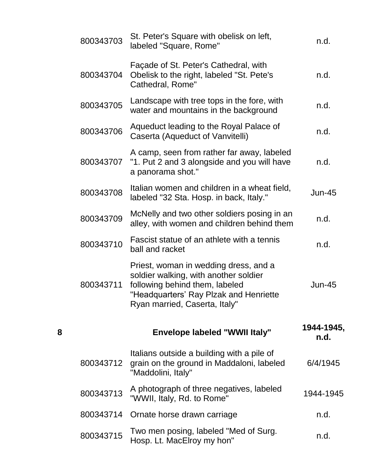|   | 800343703 | St. Peter's Square with obelisk on left,<br>labeled "Square, Rome"                                                                                                                          | n.d.               |
|---|-----------|---------------------------------------------------------------------------------------------------------------------------------------------------------------------------------------------|--------------------|
|   | 800343704 | Façade of St. Peter's Cathedral, with<br>Obelisk to the right, labeled "St. Pete's<br>Cathedral, Rome"                                                                                      | n.d.               |
|   | 800343705 | Landscape with tree tops in the fore, with<br>water and mountains in the background                                                                                                         | n.d.               |
|   | 800343706 | Aqueduct leading to the Royal Palace of<br>Caserta (Aqueduct of Vanvitelli)                                                                                                                 | n.d.               |
|   | 800343707 | A camp, seen from rather far away, labeled<br>"1. Put 2 and 3 alongside and you will have<br>a panorama shot."                                                                              | n.d.               |
|   | 800343708 | Italian women and children in a wheat field,<br>labeled "32 Sta. Hosp. in back, Italy."                                                                                                     | <b>Jun-45</b>      |
|   | 800343709 | McNelly and two other soldiers posing in an<br>alley, with women and children behind them                                                                                                   | n.d.               |
|   | 800343710 | Fascist statue of an athlete with a tennis<br>ball and racket                                                                                                                               | n.d.               |
|   | 800343711 | Priest, woman in wedding dress, and a<br>soldier walking, with another soldier<br>following behind them, labeled<br>"Headquarters' Ray Plzak and Henriette<br>Ryan married, Caserta, Italy" | Jun-45             |
| 8 |           | <b>Envelope labeled "WWII Italy"</b>                                                                                                                                                        | 1944-1945,<br>n.d. |
|   | 800343712 | Italians outside a building with a pile of<br>grain on the ground in Maddaloni, labeled<br>"Maddolini, Italy"                                                                               | 6/4/1945           |
|   | 800343713 | A photograph of three negatives, labeled<br>"WWII, Italy, Rd. to Rome"                                                                                                                      | 1944-1945          |
|   | 800343714 | Ornate horse drawn carriage                                                                                                                                                                 | n.d.               |
|   | 800343715 | Two men posing, labeled "Med of Surg.<br>Hosp. Lt. MacElroy my hon"                                                                                                                         | n.d.               |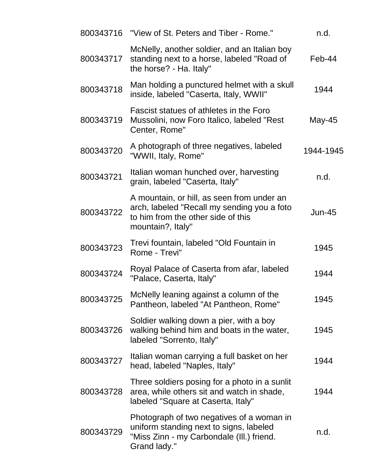| 800343716 | "View of St. Peters and Tiber - Rome."                                                                                                               | n.d.          |
|-----------|------------------------------------------------------------------------------------------------------------------------------------------------------|---------------|
| 800343717 | McNelly, another soldier, and an Italian boy<br>standing next to a horse, labeled "Road of<br>the horse? - Ha. Italy"                                | Feb-44        |
| 800343718 | Man holding a punctured helmet with a skull<br>inside, labeled "Caserta, Italy, WWII"                                                                | 1944          |
| 800343719 | Fascist statues of athletes in the Foro<br>Mussolini, now Foro Italico, labeled "Rest"<br>Center, Rome"                                              | May-45        |
| 800343720 | A photograph of three negatives, labeled<br>"WWII, Italy, Rome"                                                                                      | 1944-1945     |
| 800343721 | Italian woman hunched over, harvesting<br>grain, labeled "Caserta, Italy"                                                                            | n.d.          |
| 800343722 | A mountain, or hill, as seen from under an<br>arch, labeled "Recall my sending you a foto<br>to him from the other side of this<br>mountain?, Italy" | <b>Jun-45</b> |
| 800343723 | Trevi fountain, labeled "Old Fountain in<br>Rome - Trevi"                                                                                            | 1945          |
| 800343724 | Royal Palace of Caserta from afar, labeled<br>"Palace, Caserta, Italy"                                                                               | 1944          |
| 800343725 | McNelly leaning against a column of the<br>Pantheon, labeled "At Pantheon, Rome"                                                                     | 1945          |
| 800343726 | Soldier walking down a pier, with a boy<br>walking behind him and boats in the water,<br>labeled "Sorrento, Italy"                                   | 1945          |
| 800343727 | Italian woman carrying a full basket on her<br>head, labeled "Naples, Italy"                                                                         | 1944          |
| 800343728 | Three soldiers posing for a photo in a sunlit<br>area, while others sit and watch in shade,<br>labeled "Square at Caserta, Italy"                    | 1944          |
| 800343729 | Photograph of two negatives of a woman in<br>uniform standing next to signs, labeled<br>"Miss Zinn - my Carbondale (III.) friend.<br>Grand lady."    | n.d.          |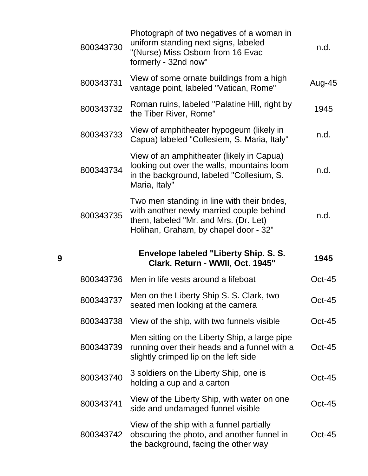| 800343730 | Photograph of two negatives of a woman in<br>uniform standing next signs, labeled<br>"(Nurse) Miss Osborn from 16 Evac<br>formerly - 32nd now"                            | n.d.     |
|-----------|---------------------------------------------------------------------------------------------------------------------------------------------------------------------------|----------|
| 800343731 | View of some ornate buildings from a high<br>vantage point, labeled "Vatican, Rome"                                                                                       | Aug-45   |
| 800343732 | Roman ruins, labeled "Palatine Hill, right by<br>the Tiber River, Rome"                                                                                                   | 1945     |
| 800343733 | View of amphitheater hypogeum (likely in<br>Capua) labeled "Collesiem, S. Maria, Italy"                                                                                   | n.d.     |
| 800343734 | View of an amphitheater (likely in Capua)<br>looking out over the walls, mountains loom<br>in the background, labeled "Collesium, S.<br>Maria, Italy"                     | n.d.     |
| 800343735 | Two men standing in line with their brides,<br>with another newly married couple behind<br>them, labeled "Mr. and Mrs. (Dr. Let)<br>Holihan, Graham, by chapel door - 32" | n.d.     |
|           |                                                                                                                                                                           |          |
|           | Envelope labeled "Liberty Ship. S. S.<br>Clark. Return - WWII, Oct. 1945"                                                                                                 | 1945     |
| 800343736 | Men in life vests around a lifeboat                                                                                                                                       | $Oct-45$ |
| 800343737 | Men on the Liberty Ship S. S. Clark, two<br>seated men looking at the camera                                                                                              | Oct-45   |
| 800343738 | View of the ship, with two funnels visible                                                                                                                                | $Oct-45$ |
| 800343739 | Men sitting on the Liberty Ship, a large pipe<br>running over their heads and a funnel with a<br>slightly crimped lip on the left side                                    | Oct-45   |
| 800343740 | 3 soldiers on the Liberty Ship, one is<br>holding a cup and a carton                                                                                                      | Oct-45   |
| 800343741 | View of the Liberty Ship, with water on one<br>side and undamaged funnel visible                                                                                          | Oct-45   |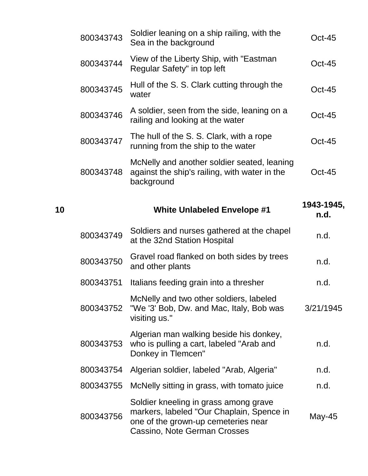|    | 800343743 | Soldier leaning on a ship railing, with the<br>Sea in the background                                                                                      | $Oct-45$           |
|----|-----------|-----------------------------------------------------------------------------------------------------------------------------------------------------------|--------------------|
|    | 800343744 | View of the Liberty Ship, with "Eastman"<br>Regular Safety" in top left                                                                                   | $Oct-45$           |
|    | 800343745 | Hull of the S. S. Clark cutting through the<br>water                                                                                                      | Oct-45             |
|    | 800343746 | A soldier, seen from the side, leaning on a<br>railing and looking at the water                                                                           | $Oct-45$           |
|    | 800343747 | The hull of the S. S. Clark, with a rope<br>running from the ship to the water                                                                            | <b>Oct-45</b>      |
|    | 800343748 | McNelly and another soldier seated, leaning<br>against the ship's railing, with water in the<br>background                                                | $Oct-45$           |
| 10 |           | <b>White Unlabeled Envelope #1</b>                                                                                                                        | 1943-1945,<br>n.d. |
|    | 800343749 | Soldiers and nurses gathered at the chapel<br>at the 32nd Station Hospital                                                                                | n.d.               |
|    | 800343750 | Gravel road flanked on both sides by trees<br>and other plants                                                                                            | n.d.               |
|    | 800343751 | Italians feeding grain into a thresher                                                                                                                    | n.d.               |
|    | 800343752 | McNelly and two other soldiers, labeled<br>"We '3' Bob, Dw. and Mac, Italy, Bob was<br>visiting us."                                                      | 3/21/1945          |
|    | 800343753 | Algerian man walking beside his donkey,<br>who is pulling a cart, labeled "Arab and<br>Donkey in Tlemcen"                                                 | n.d.               |
|    | 800343754 | Algerian soldier, labeled "Arab, Algeria"                                                                                                                 | n.d.               |
|    | 800343755 | McNelly sitting in grass, with tomato juice                                                                                                               | n.d.               |
|    | 800343756 | Soldier kneeling in grass among grave<br>markers, labeled "Our Chaplain, Spence in<br>one of the grown-up cemeteries near<br>Cassino, Note German Crosses | May-45             |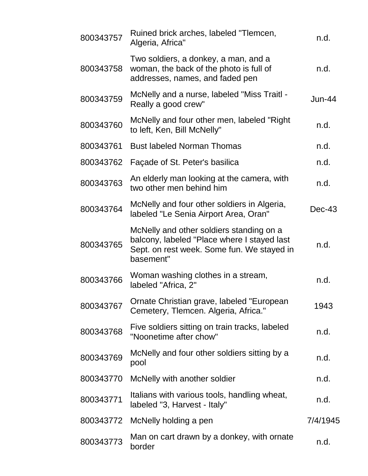| 800343757 | Ruined brick arches, labeled "Tlemcen,<br>Algeria, Africa"                                                                                         | n.d.     |
|-----------|----------------------------------------------------------------------------------------------------------------------------------------------------|----------|
| 800343758 | Two soldiers, a donkey, a man, and a<br>woman, the back of the photo is full of<br>addresses, names, and faded pen                                 | n.d.     |
| 800343759 | McNelly and a nurse, labeled "Miss Traitl -<br>Really a good crew"                                                                                 | Jun-44   |
| 800343760 | McNelly and four other men, labeled "Right"<br>to left, Ken, Bill McNelly"                                                                         | n.d.     |
| 800343761 | <b>Bust labeled Norman Thomas</b>                                                                                                                  | n.d.     |
| 800343762 | Façade of St. Peter's basilica                                                                                                                     | n.d.     |
| 800343763 | An elderly man looking at the camera, with<br>two other men behind him                                                                             | n.d.     |
| 800343764 | McNelly and four other soldiers in Algeria,<br>labeled "Le Senia Airport Area, Oran"                                                               | $Dec-43$ |
| 800343765 | McNelly and other soldiers standing on a<br>balcony, labeled "Place where I stayed last<br>Sept. on rest week. Some fun. We stayed in<br>basement" | n.d.     |
| 800343766 | Woman washing clothes in a stream,<br>labeled "Africa, 2"                                                                                          | n.d.     |
| 800343767 | Ornate Christian grave, labeled "European<br>Cemetery, Tlemcen. Algeria, Africa."                                                                  | 1943     |
| 800343768 | Five soldiers sitting on train tracks, labeled<br>"Noonetime after chow"                                                                           | n.d.     |
| 800343769 | McNelly and four other soldiers sitting by a<br>pool                                                                                               | n.d.     |
| 800343770 | McNelly with another soldier                                                                                                                       | n.d.     |
| 800343771 | Italians with various tools, handling wheat,<br>labeled "3, Harvest - Italy"                                                                       | n.d.     |
| 800343772 | McNelly holding a pen                                                                                                                              | 7/4/1945 |
| 800343773 | Man on cart drawn by a donkey, with ornate<br>border                                                                                               | n.d.     |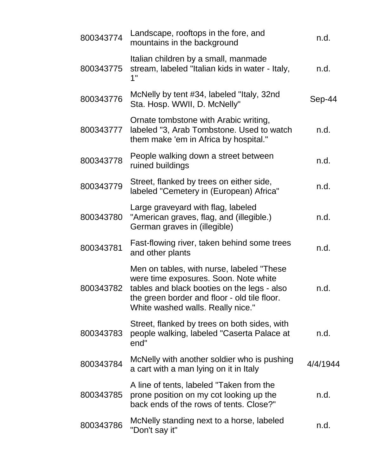| 800343774 | Landscape, rooftops in the fore, and<br>mountains in the background                                                                                                                                                     | n.d.     |
|-----------|-------------------------------------------------------------------------------------------------------------------------------------------------------------------------------------------------------------------------|----------|
| 800343775 | Italian children by a small, manmade<br>stream, labeled "Italian kids in water - Italy,<br>1"                                                                                                                           | n.d.     |
| 800343776 | McNelly by tent #34, labeled "Italy, 32nd<br>Sta. Hosp. WWII, D. McNelly"                                                                                                                                               | Sep-44   |
| 800343777 | Ornate tombstone with Arabic writing,<br>labeled "3, Arab Tombstone. Used to watch<br>them make 'em in Africa by hospital."                                                                                             | n.d.     |
| 800343778 | People walking down a street between<br>ruined buildings                                                                                                                                                                | n.d.     |
| 800343779 | Street, flanked by trees on either side,<br>labeled "Cemetery in (European) Africa"                                                                                                                                     | n.d.     |
| 800343780 | Large graveyard with flag, labeled<br>"American graves, flag, and (illegible.)<br>German graves in (illegible)                                                                                                          | n.d.     |
| 800343781 | Fast-flowing river, taken behind some trees<br>and other plants                                                                                                                                                         | n.d.     |
| 800343782 | Men on tables, with nurse, labeled "These"<br>were time exposures. Soon. Note white<br>tables and black booties on the legs - also<br>the green border and floor - old tile floor.<br>White washed walls. Really nice." | n.d.     |
| 800343783 | Street, flanked by trees on both sides, with<br>people walking, labeled "Caserta Palace at<br>end"                                                                                                                      | n.d.     |
| 800343784 | McNelly with another soldier who is pushing<br>a cart with a man lying on it in Italy                                                                                                                                   | 4/4/1944 |
| 800343785 | A line of tents, labeled "Taken from the<br>prone position on my cot looking up the<br>back ends of the rows of tents. Close?"                                                                                          | n.d.     |
| 800343786 | McNelly standing next to a horse, labeled<br>"Don't say it"                                                                                                                                                             | n.d.     |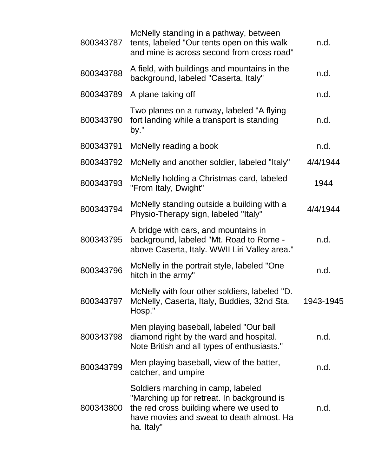| 800343787 | McNelly standing in a pathway, between<br>tents, labeled "Our tents open on this walk<br>and mine is across second from cross road"                                                    | n.d.      |
|-----------|----------------------------------------------------------------------------------------------------------------------------------------------------------------------------------------|-----------|
| 800343788 | A field, with buildings and mountains in the<br>background, labeled "Caserta, Italy"                                                                                                   | n.d.      |
| 800343789 | A plane taking off                                                                                                                                                                     | n.d.      |
| 800343790 | Two planes on a runway, labeled "A flying<br>fort landing while a transport is standing<br>by."                                                                                        | n.d.      |
| 800343791 | McNelly reading a book                                                                                                                                                                 | n.d.      |
| 800343792 | McNelly and another soldier, labeled "Italy"                                                                                                                                           | 4/4/1944  |
| 800343793 | McNelly holding a Christmas card, labeled<br>"From Italy, Dwight"                                                                                                                      | 1944      |
| 800343794 | McNelly standing outside a building with a<br>Physio-Therapy sign, labeled "Italy"                                                                                                     | 4/4/1944  |
| 800343795 | A bridge with cars, and mountains in<br>background, labeled "Mt. Road to Rome -<br>above Caserta, Italy. WWII Liri Valley area."                                                       | n.d.      |
| 800343796 | McNelly in the portrait style, labeled "One<br>hitch in the army"                                                                                                                      | n.d.      |
| 800343797 | McNelly with four other soldiers, labeled "D.<br>McNelly, Caserta, Italy, Buddies, 32nd Sta.<br>Hosp."                                                                                 | 1943-1945 |
| 800343798 | Men playing baseball, labeled "Our ball<br>diamond right by the ward and hospital.<br>Note British and all types of enthusiasts."                                                      | n.d.      |
| 800343799 | Men playing baseball, view of the batter,<br>catcher, and umpire                                                                                                                       | n.d.      |
| 800343800 | Soldiers marching in camp, labeled<br>"Marching up for retreat. In background is<br>the red cross building where we used to<br>have movies and sweat to death almost. Ha<br>ha. Italy" | n.d.      |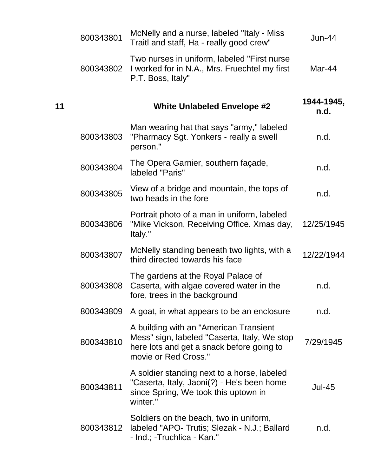|    | 800343801 | McNelly and a nurse, labeled "Italy - Miss<br>Traitl and staff, Ha - really good crew"                                                                      | $Jun-44$           |
|----|-----------|-------------------------------------------------------------------------------------------------------------------------------------------------------------|--------------------|
|    | 800343802 | Two nurses in uniform, labeled "First nurse<br>I worked for in N.A., Mrs. Fruechtel my first<br>P.T. Boss, Italy"                                           | Mar-44             |
| 11 |           | <b>White Unlabeled Envelope #2</b>                                                                                                                          | 1944-1945,<br>n.d. |
|    | 800343803 | Man wearing hat that says "army," labeled<br>"Pharmacy Sgt. Yonkers - really a swell<br>person."                                                            | n.d.               |
|    | 800343804 | The Opera Garnier, southern façade,<br>labeled "Paris"                                                                                                      | n.d.               |
|    | 800343805 | View of a bridge and mountain, the tops of<br>two heads in the fore                                                                                         | n.d.               |
|    | 800343806 | Portrait photo of a man in uniform, labeled<br>"Mike Vickson, Receiving Office. Xmas day,<br>Italy."                                                        | 12/25/1945         |
|    | 800343807 | McNelly standing beneath two lights, with a<br>third directed towards his face                                                                              | 12/22/1944         |
|    | 800343808 | The gardens at the Royal Palace of<br>Caserta, with algae covered water in the<br>fore, trees in the background                                             | n.d.               |
|    | 800343809 | A goat, in what appears to be an enclosure                                                                                                                  | n.d.               |
|    | 800343810 | A building with an "American Transient<br>Mess" sign, labeled "Caserta, Italy, We stop<br>here lots and get a snack before going to<br>movie or Red Cross." | 7/29/1945          |
|    | 800343811 | A soldier standing next to a horse, labeled<br>"Caserta, Italy, Jaoni(?) - He's been home<br>since Spring, We took this uptown in<br>winter."               | <b>Jul-45</b>      |
|    | 800343812 | Soldiers on the beach, two in uniform,<br>labeled "APO- Trutis; Slezak - N.J.; Ballard<br>- Ind.; -Truchlica - Kan."                                        | n.d.               |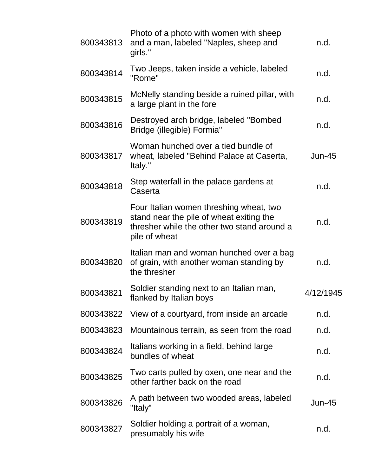| 800343813 | Photo of a photo with women with sheep<br>and a man, labeled "Naples, sheep and<br>girls."                                                          | n.d.          |
|-----------|-----------------------------------------------------------------------------------------------------------------------------------------------------|---------------|
| 800343814 | Two Jeeps, taken inside a vehicle, labeled<br>"Rome"                                                                                                | n.d.          |
| 800343815 | McNelly standing beside a ruined pillar, with<br>a large plant in the fore                                                                          | n.d.          |
| 800343816 | Destroyed arch bridge, labeled "Bombed<br>Bridge (illegible) Formia"                                                                                | n.d.          |
| 800343817 | Woman hunched over a tied bundle of<br>wheat, labeled "Behind Palace at Caserta,<br>Italy."                                                         | <b>Jun-45</b> |
| 800343818 | Step waterfall in the palace gardens at<br>Caserta                                                                                                  | n.d.          |
| 800343819 | Four Italian women threshing wheat, two<br>stand near the pile of wheat exiting the<br>thresher while the other two stand around a<br>pile of wheat | n.d.          |
| 800343820 | Italian man and woman hunched over a bag<br>of grain, with another woman standing by<br>the thresher                                                | n.d.          |
| 800343821 | Soldier standing next to an Italian man,<br>flanked by Italian boys                                                                                 | 4/12/1945     |
| 800343822 | View of a courtyard, from inside an arcade                                                                                                          | n.d.          |
| 800343823 | Mountainous terrain, as seen from the road                                                                                                          | n.d.          |
| 800343824 | Italians working in a field, behind large<br>bundles of wheat                                                                                       | n.d.          |
| 800343825 | Two carts pulled by oxen, one near and the<br>other farther back on the road                                                                        | n.d.          |
| 800343826 | A path between two wooded areas, labeled<br>"Italy"                                                                                                 | <b>Jun-45</b> |
| 800343827 | Soldier holding a portrait of a woman,<br>presumably his wife                                                                                       | n.d.          |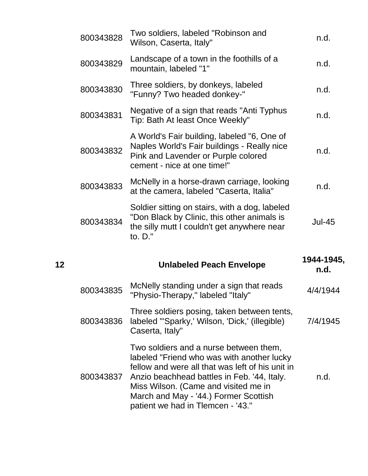|    | 800343828 | Two soldiers, labeled "Robinson and<br>Wilson, Caserta, Italy"                                                                                                   | n.d.               |
|----|-----------|------------------------------------------------------------------------------------------------------------------------------------------------------------------|--------------------|
|    | 800343829 | Landscape of a town in the foothills of a<br>mountain, labeled "1"                                                                                               | n.d.               |
|    | 800343830 | Three soldiers, by donkeys, labeled<br>"Funny? Two headed donkey-"                                                                                               | n.d.               |
|    | 800343831 | Negative of a sign that reads "Anti Typhus<br>Tip: Bath At least Once Weekly"                                                                                    | n.d.               |
|    | 800343832 | A World's Fair building, labeled "6, One of<br>Naples World's Fair buildings - Really nice<br>Pink and Lavender or Purple colored<br>cement - nice at one time!" | n.d.               |
|    | 800343833 | McNelly in a horse-drawn carriage, looking<br>at the camera, labeled "Caserta, Italia"                                                                           | n.d.               |
|    |           | Soldier sitting on stairs, with a dog, labeled                                                                                                                   |                    |
|    | 800343834 | "Don Black by Clinic, this other animals is<br>the silly mutt I couldn't get anywhere near<br>to. D."                                                            | <b>Jul-45</b>      |
| 12 |           | <b>Unlabeled Peach Envelope</b>                                                                                                                                  | 1944-1945,<br>n.d. |
|    | 800343835 | McNelly standing under a sign that reads<br>"Physio-Therapy," labeled "Italy"                                                                                    | 4/4/1944           |
|    | 800343836 | Three soldiers posing, taken between tents,<br>labeled "'Sparky,' Wilson, 'Dick,' (illegible)<br>Caserta, Italy"                                                 | 7/4/1945           |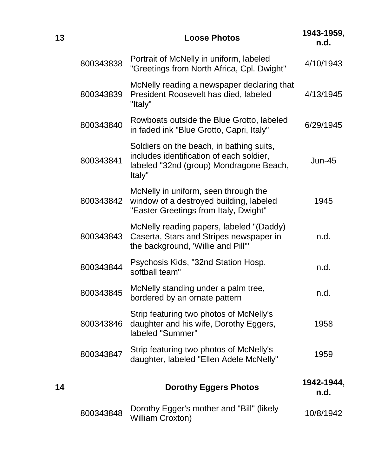| 13 |           | <b>Loose Photos</b>                                                                                                                       | 1943-1959,<br>n.d. |
|----|-----------|-------------------------------------------------------------------------------------------------------------------------------------------|--------------------|
|    | 800343838 | Portrait of McNelly in uniform, labeled<br>"Greetings from North Africa, Cpl. Dwight"                                                     | 4/10/1943          |
|    | 800343839 | McNelly reading a newspaper declaring that<br>President Roosevelt has died, labeled<br>"Italy"                                            | 4/13/1945          |
|    | 800343840 | Rowboats outside the Blue Grotto, labeled<br>in faded ink "Blue Grotto, Capri, Italy"                                                     | 6/29/1945          |
|    | 800343841 | Soldiers on the beach, in bathing suits,<br>includes identification of each soldier,<br>labeled "32nd (group) Mondragone Beach,<br>Italy" | $Jun-45$           |
|    | 800343842 | McNelly in uniform, seen through the<br>window of a destroyed building, labeled<br>"Easter Greetings from Italy, Dwight"                  | 1945               |
|    | 800343843 | McNelly reading papers, labeled "(Daddy)<br>Caserta, Stars and Stripes newspaper in<br>the background, 'Willie and Pill'"                 | n.d.               |
|    | 800343844 | Psychosis Kids, "32nd Station Hosp.<br>softball team"                                                                                     | n.d.               |
|    | 800343845 | McNelly standing under a palm tree,<br>bordered by an ornate pattern                                                                      | n.d.               |
|    | 800343846 | Strip featuring two photos of McNelly's<br>daughter and his wife, Dorothy Eggers,<br>labeled "Summer"                                     | 1958               |
|    | 800343847 | Strip featuring two photos of McNelly's<br>daughter, labeled "Ellen Adele McNelly"                                                        | 1959               |
| 14 |           | <b>Dorothy Eggers Photos</b>                                                                                                              | 1942-1944,<br>n.d. |
|    | 800343848 | Dorothy Egger's mother and "Bill" (likely<br><b>William Croxton)</b>                                                                      | 10/8/1942          |